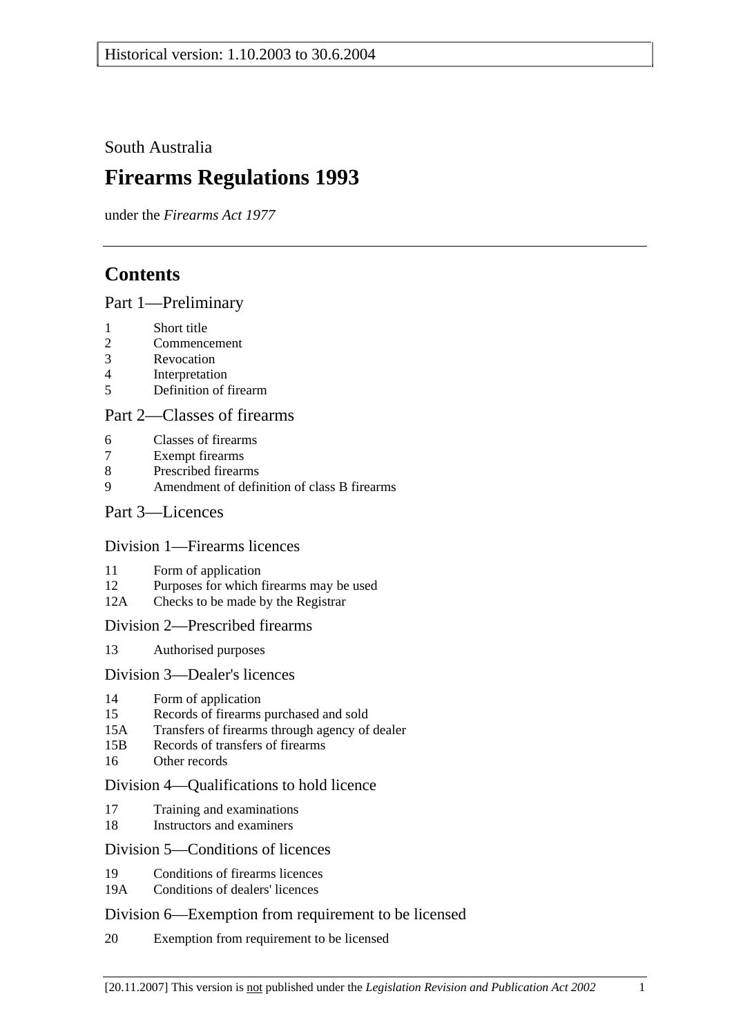South Australia

# **Firearms Regulations 1993**

under the *Firearms Act 1977*

# **Contents**

Part 1—Preliminary

- 1 Short title
- 2 Commencement
- 3 Revocation
- 4 Interpretation
- 5 Definition of firearm

## Part 2—Classes of firearms

- 6 Classes of firearms
- 7 Exempt firearms
- 8 Prescribed firearms
- 9 Amendment of definition of class B firearms

## Part 3—Licences

Division 1—Firearms licences

- 11 Form of application
- 12 Purposes for which firearms may be used
- 12A Checks to be made by the Registrar

Division 2—Prescribed firearms

13 Authorised purposes

Division 3—Dealer's licences

- 14 Form of application
- 15 Records of firearms purchased and sold
- 15A Transfers of firearms through agency of dealer
- 15B Records of transfers of firearms
- 16 Other records

#### Division 4—Qualifications to hold licence

- 17 Training and examinations
- 18 Instructors and examiners

## Division 5—Conditions of licences

- 19 Conditions of firearms licences
- 19A Conditions of dealers' licences

#### Division 6—Exemption from requirement to be licensed

20 Exemption from requirement to be licensed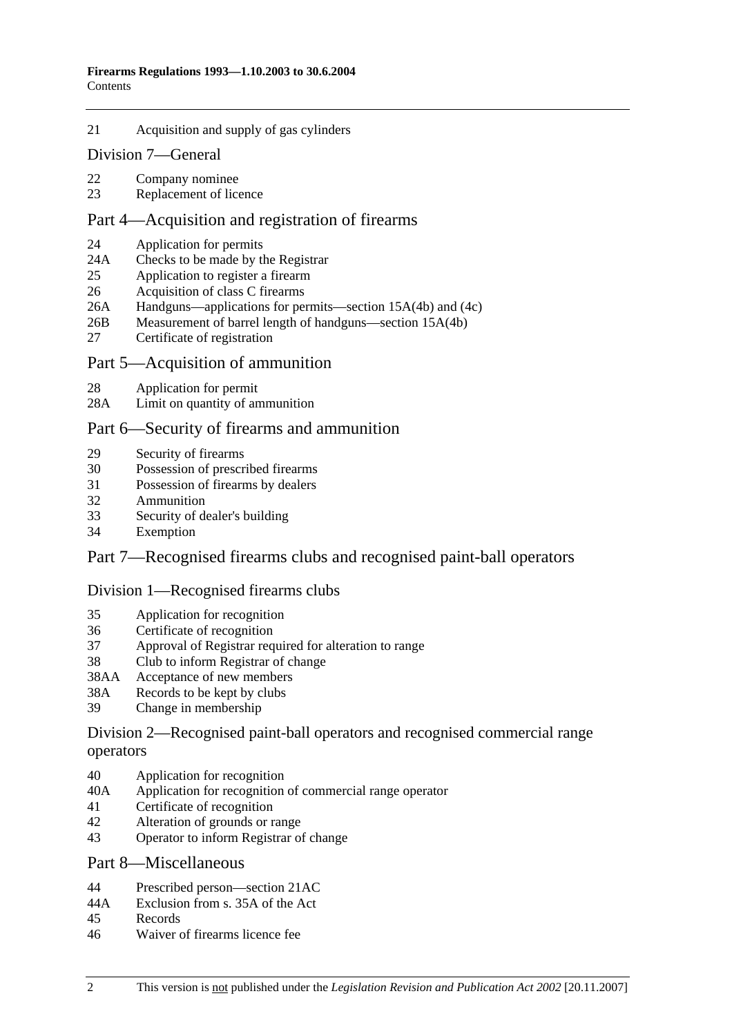21 Acquisition and supply of gas cylinders

#### Division 7—General

- 22 Company nominee
- 23 Replacement of licence

## Part 4—Acquisition and registration of firearms

- 24 Application for permits
- 24A Checks to be made by the Registrar
- 25 Application to register a firearm
- 26 Acquisition of class C firearms
- 26A Handguns—applications for permits—section 15A(4b) and (4c)
- 26B Measurement of barrel length of handguns—section 15A(4b)
- 27 Certificate of registration

#### Part 5—Acquisition of ammunition

- 28 Application for permit
- 28A Limit on quantity of ammunition

## Part 6—Security of firearms and ammunition

- 29 Security of firearms
- 30 Possession of prescribed firearms
- 31 Possession of firearms by dealers
- 32 Ammunition
- 33 Security of dealer's building
- 34 Exemption

## Part 7—Recognised firearms clubs and recognised paint-ball operators

#### Division 1—Recognised firearms clubs

- 35 Application for recognition
- 36 Certificate of recognition
- 37 Approval of Registrar required for alteration to range
- 38 Club to inform Registrar of change
- 38AA Acceptance of new members
- 38A Records to be kept by clubs
- 39 Change in membership

## Division 2—Recognised paint-ball operators and recognised commercial range operators

- 40 Application for recognition
- 40A Application for recognition of commercial range operator
- 41 Certificate of recognition
- 42 Alteration of grounds or range
- 43 Operator to inform Registrar of change

## Part 8—Miscellaneous

- 44 Prescribed person—section 21AC
- 44A Exclusion from s. 35A of the Act
- 45 Records
- 46 Waiver of firearms licence fee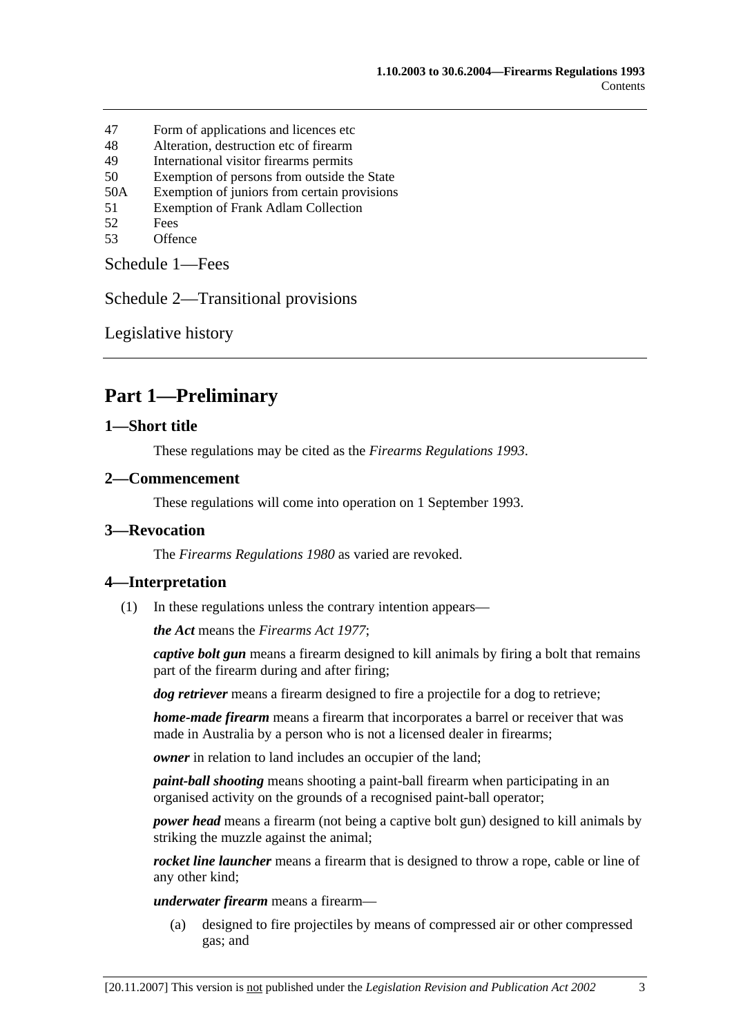- 47 Form of applications and licences etc
- 48 Alteration, destruction etc of firearm
- 49 International visitor firearms permits
- 50 Exemption of persons from outside the State
- 50A Exemption of juniors from certain provisions
- 51 Exemption of Frank Adlam Collection
- 52 Fees
- 53 Offence

Schedule 1—Fees

Schedule 2—Transitional provisions

Legislative history

# **Part 1—Preliminary**

## **1—Short title**

These regulations may be cited as the *Firearms Regulations 1993*.

#### **2—Commencement**

These regulations will come into operation on 1 September 1993.

## **3—Revocation**

The *Firearms Regulations 1980* as varied are revoked.

## **4—Interpretation**

(1) In these regulations unless the contrary intention appears—

*the Act* means the *Firearms Act 1977*;

*captive bolt gun* means a firearm designed to kill animals by firing a bolt that remains part of the firearm during and after firing;

*dog retriever* means a firearm designed to fire a projectile for a dog to retrieve;

*home-made firearm* means a firearm that incorporates a barrel or receiver that was made in Australia by a person who is not a licensed dealer in firearms;

*owner* in relation to land includes an occupier of the land;

*paint-ball shooting* means shooting a paint-ball firearm when participating in an organised activity on the grounds of a recognised paint-ball operator;

*power head* means a firearm (not being a captive bolt gun) designed to kill animals by striking the muzzle against the animal;

*rocket line launcher* means a firearm that is designed to throw a rope, cable or line of any other kind;

*underwater firearm* means a firearm—

 (a) designed to fire projectiles by means of compressed air or other compressed gas; and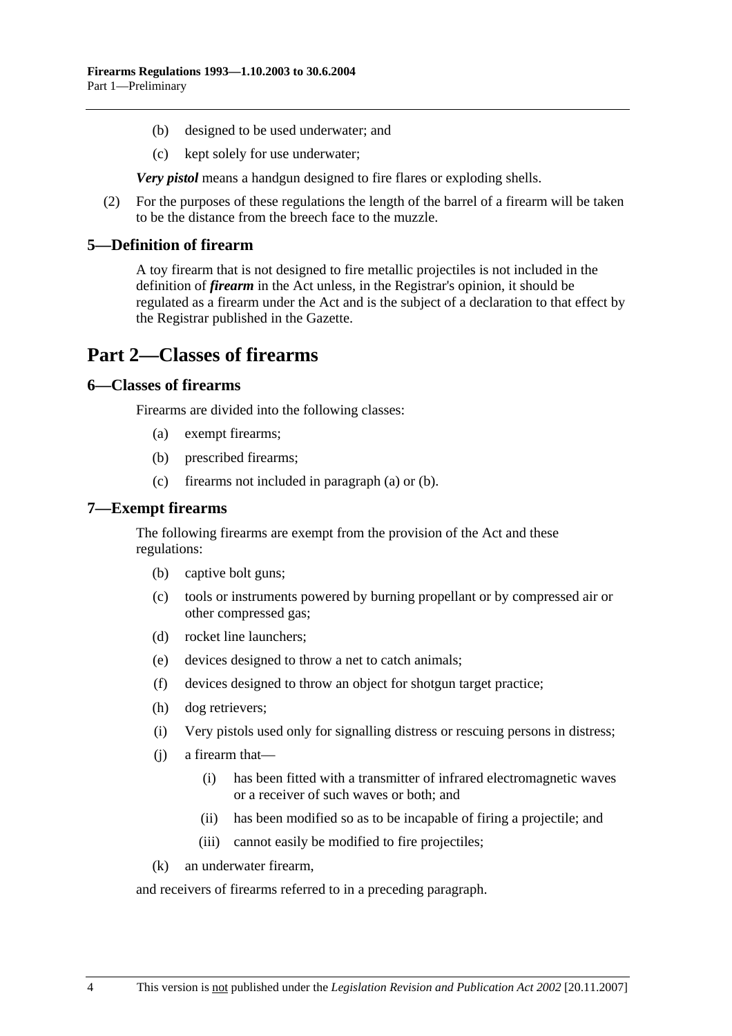- (b) designed to be used underwater; and
- (c) kept solely for use underwater;

*Very pistol* means a handgun designed to fire flares or exploding shells.

 (2) For the purposes of these regulations the length of the barrel of a firearm will be taken to be the distance from the breech face to the muzzle.

#### **5—Definition of firearm**

A toy firearm that is not designed to fire metallic projectiles is not included in the definition of *firearm* in the Act unless, in the Registrar's opinion, it should be regulated as a firearm under the Act and is the subject of a declaration to that effect by the Registrar published in the Gazette.

## **Part 2—Classes of firearms**

## **6—Classes of firearms**

Firearms are divided into the following classes:

- (a) exempt firearms;
- (b) prescribed firearms;
- (c) firearms not included in paragraph (a) or (b).

#### **7—Exempt firearms**

The following firearms are exempt from the provision of the Act and these regulations:

- (b) captive bolt guns;
- (c) tools or instruments powered by burning propellant or by compressed air or other compressed gas;
- (d) rocket line launchers;
- (e) devices designed to throw a net to catch animals;
- (f) devices designed to throw an object for shotgun target practice;
- (h) dog retrievers;
- (i) Very pistols used only for signalling distress or rescuing persons in distress;
- (j) a firearm that—
	- (i) has been fitted with a transmitter of infrared electromagnetic waves or a receiver of such waves or both; and
	- (ii) has been modified so as to be incapable of firing a projectile; and
	- (iii) cannot easily be modified to fire projectiles;
- (k) an underwater firearm,

and receivers of firearms referred to in a preceding paragraph.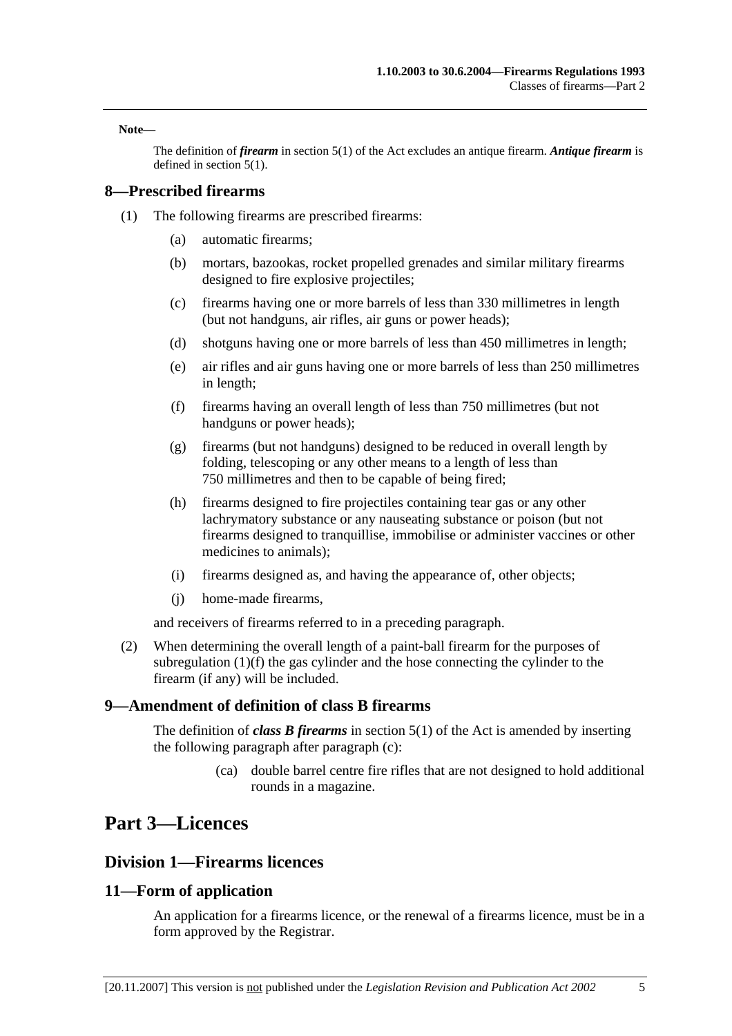**Note—** 

The definition of *firearm* in section 5(1) of the Act excludes an antique firearm. *Antique firearm* is defined in section 5(1).

## **8—Prescribed firearms**

- (1) The following firearms are prescribed firearms:
	- (a) automatic firearms;
	- (b) mortars, bazookas, rocket propelled grenades and similar military firearms designed to fire explosive projectiles;
	- (c) firearms having one or more barrels of less than 330 millimetres in length (but not handguns, air rifles, air guns or power heads);
	- (d) shotguns having one or more barrels of less than 450 millimetres in length;
	- (e) air rifles and air guns having one or more barrels of less than 250 millimetres in length;
	- (f) firearms having an overall length of less than 750 millimetres (but not handguns or power heads);
	- (g) firearms (but not handguns) designed to be reduced in overall length by folding, telescoping or any other means to a length of less than 750 millimetres and then to be capable of being fired;
	- (h) firearms designed to fire projectiles containing tear gas or any other lachrymatory substance or any nauseating substance or poison (but not firearms designed to tranquillise, immobilise or administer vaccines or other medicines to animals);
	- (i) firearms designed as, and having the appearance of, other objects;
	- (j) home-made firearms,

and receivers of firearms referred to in a preceding paragraph.

 (2) When determining the overall length of a paint-ball firearm for the purposes of subregulation (1)(f) the gas cylinder and the hose connecting the cylinder to the firearm (if any) will be included.

## **9—Amendment of definition of class B firearms**

The definition of *class B firearms* in section 5(1) of the Act is amended by inserting the following paragraph after paragraph (c):

> (ca) double barrel centre fire rifles that are not designed to hold additional rounds in a magazine.

# **Part 3—Licences**

## **Division 1—Firearms licences**

## **11—Form of application**

An application for a firearms licence, or the renewal of a firearms licence, must be in a form approved by the Registrar.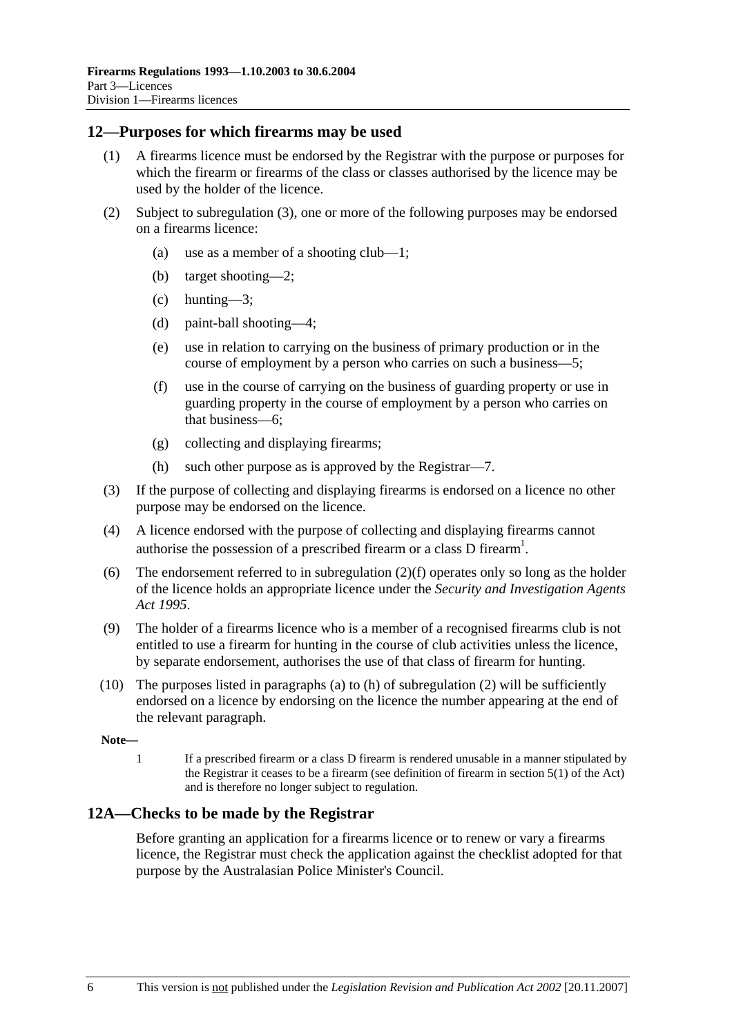## **12—Purposes for which firearms may be used**

- (1) A firearms licence must be endorsed by the Registrar with the purpose or purposes for which the firearm or firearms of the class or classes authorised by the licence may be used by the holder of the licence.
- (2) Subject to subregulation (3), one or more of the following purposes may be endorsed on a firearms licence:
	- (a) use as a member of a shooting club—1;
	- (b) target shooting—2;
	- (c) hunting—3;
	- (d) paint-ball shooting—4;
	- (e) use in relation to carrying on the business of primary production or in the course of employment by a person who carries on such a business—5;
	- (f) use in the course of carrying on the business of guarding property or use in guarding property in the course of employment by a person who carries on that business—6;
	- (g) collecting and displaying firearms;
	- (h) such other purpose as is approved by the Registrar—7.
- (3) If the purpose of collecting and displaying firearms is endorsed on a licence no other purpose may be endorsed on the licence.
- (4) A licence endorsed with the purpose of collecting and displaying firearms cannot authorise the possession of a prescribed firearm or a class D firearm<sup>1</sup>.
- (6) The endorsement referred to in subregulation  $(2)(f)$  operates only so long as the holder of the licence holds an appropriate licence under the *Security and Investigation Agents Act 1995*.
- (9) The holder of a firearms licence who is a member of a recognised firearms club is not entitled to use a firearm for hunting in the course of club activities unless the licence, by separate endorsement, authorises the use of that class of firearm for hunting.
- (10) The purposes listed in paragraphs (a) to (h) of subregulation (2) will be sufficiently endorsed on a licence by endorsing on the licence the number appearing at the end of the relevant paragraph.

**Note—** 

1 If a prescribed firearm or a class D firearm is rendered unusable in a manner stipulated by the Registrar it ceases to be a firearm (see definition of firearm in section 5(1) of the Act) and is therefore no longer subject to regulation.

## **12A—Checks to be made by the Registrar**

Before granting an application for a firearms licence or to renew or vary a firearms licence, the Registrar must check the application against the checklist adopted for that purpose by the Australasian Police Minister's Council.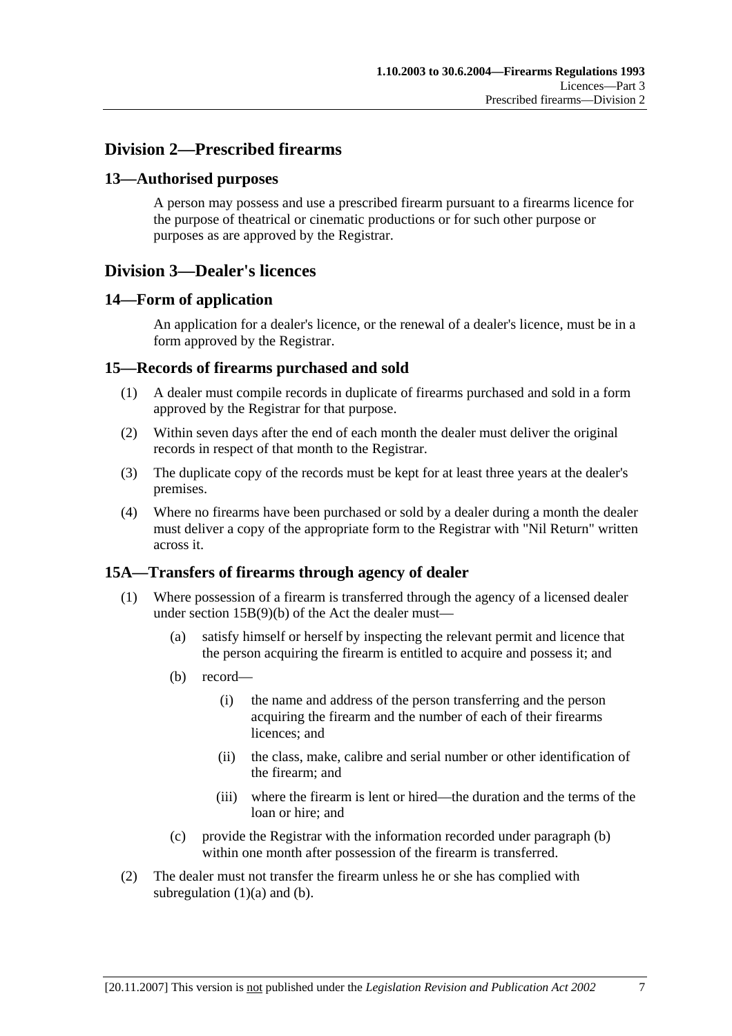## **Division 2—Prescribed firearms**

## **13—Authorised purposes**

A person may possess and use a prescribed firearm pursuant to a firearms licence for the purpose of theatrical or cinematic productions or for such other purpose or purposes as are approved by the Registrar.

## **Division 3—Dealer's licences**

## **14—Form of application**

An application for a dealer's licence, or the renewal of a dealer's licence, must be in a form approved by the Registrar.

## **15—Records of firearms purchased and sold**

- (1) A dealer must compile records in duplicate of firearms purchased and sold in a form approved by the Registrar for that purpose.
- (2) Within seven days after the end of each month the dealer must deliver the original records in respect of that month to the Registrar.
- (3) The duplicate copy of the records must be kept for at least three years at the dealer's premises.
- (4) Where no firearms have been purchased or sold by a dealer during a month the dealer must deliver a copy of the appropriate form to the Registrar with "Nil Return" written across it.

## **15A—Transfers of firearms through agency of dealer**

- (1) Where possession of a firearm is transferred through the agency of a licensed dealer under section 15B(9)(b) of the Act the dealer must—
	- (a) satisfy himself or herself by inspecting the relevant permit and licence that the person acquiring the firearm is entitled to acquire and possess it; and
	- (b) record—
		- (i) the name and address of the person transferring and the person acquiring the firearm and the number of each of their firearms licences; and
		- (ii) the class, make, calibre and serial number or other identification of the firearm; and
		- (iii) where the firearm is lent or hired—the duration and the terms of the loan or hire; and
	- (c) provide the Registrar with the information recorded under paragraph (b) within one month after possession of the firearm is transferred.
- (2) The dealer must not transfer the firearm unless he or she has complied with subregulation  $(1)(a)$  and  $(b)$ .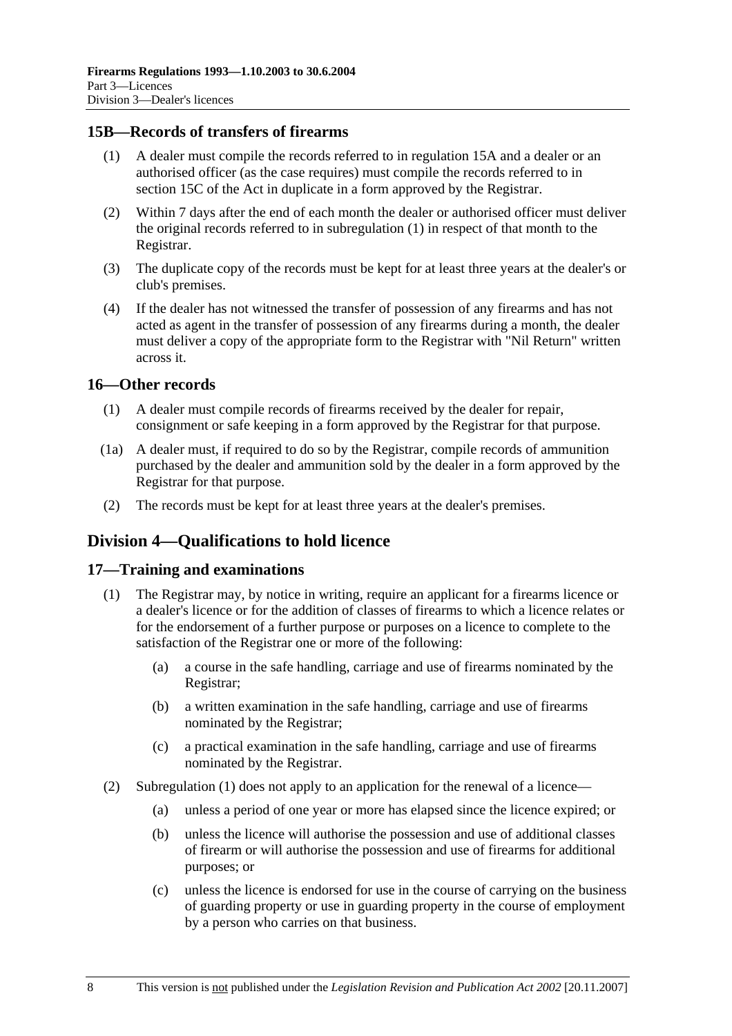## **15B—Records of transfers of firearms**

- (1) A dealer must compile the records referred to in regulation 15A and a dealer or an authorised officer (as the case requires) must compile the records referred to in section 15C of the Act in duplicate in a form approved by the Registrar.
- (2) Within 7 days after the end of each month the dealer or authorised officer must deliver the original records referred to in subregulation (1) in respect of that month to the Registrar.
- (3) The duplicate copy of the records must be kept for at least three years at the dealer's or club's premises.
- (4) If the dealer has not witnessed the transfer of possession of any firearms and has not acted as agent in the transfer of possession of any firearms during a month, the dealer must deliver a copy of the appropriate form to the Registrar with "Nil Return" written across it.

## **16—Other records**

- (1) A dealer must compile records of firearms received by the dealer for repair, consignment or safe keeping in a form approved by the Registrar for that purpose.
- (1a) A dealer must, if required to do so by the Registrar, compile records of ammunition purchased by the dealer and ammunition sold by the dealer in a form approved by the Registrar for that purpose.
- (2) The records must be kept for at least three years at the dealer's premises.

## **Division 4—Qualifications to hold licence**

#### **17—Training and examinations**

- (1) The Registrar may, by notice in writing, require an applicant for a firearms licence or a dealer's licence or for the addition of classes of firearms to which a licence relates or for the endorsement of a further purpose or purposes on a licence to complete to the satisfaction of the Registrar one or more of the following:
	- (a) a course in the safe handling, carriage and use of firearms nominated by the Registrar;
	- (b) a written examination in the safe handling, carriage and use of firearms nominated by the Registrar;
	- (c) a practical examination in the safe handling, carriage and use of firearms nominated by the Registrar.
- (2) Subregulation (1) does not apply to an application for the renewal of a licence—
	- (a) unless a period of one year or more has elapsed since the licence expired; or
	- (b) unless the licence will authorise the possession and use of additional classes of firearm or will authorise the possession and use of firearms for additional purposes; or
	- (c) unless the licence is endorsed for use in the course of carrying on the business of guarding property or use in guarding property in the course of employment by a person who carries on that business.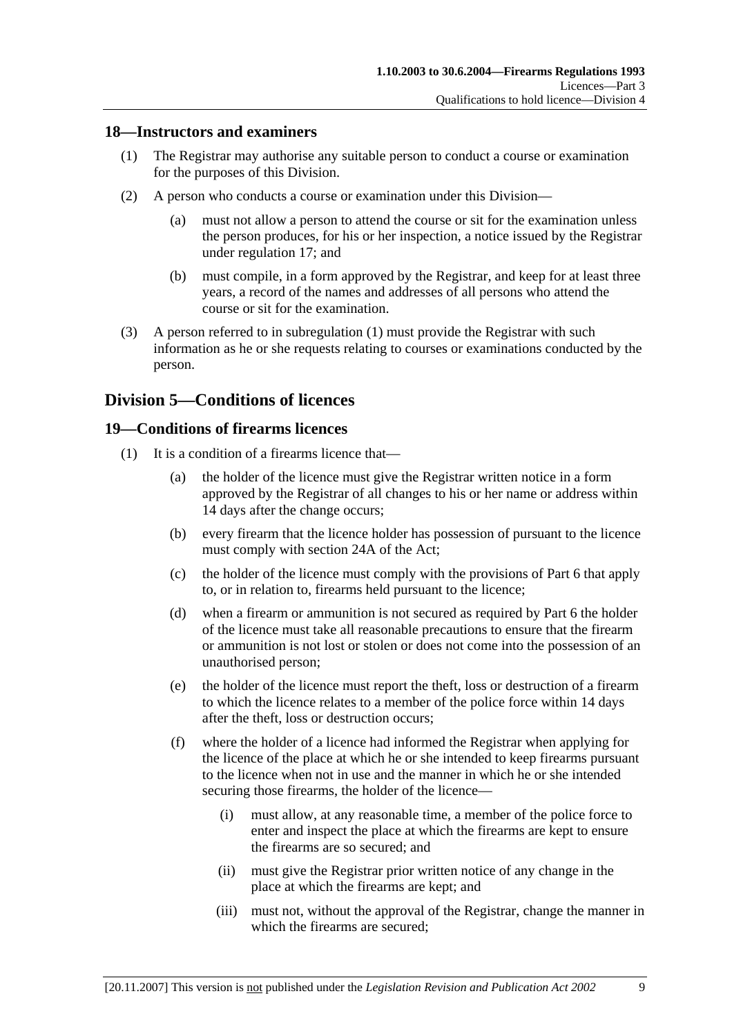## **18—Instructors and examiners**

- (1) The Registrar may authorise any suitable person to conduct a course or examination for the purposes of this Division.
- (2) A person who conducts a course or examination under this Division—
	- (a) must not allow a person to attend the course or sit for the examination unless the person produces, for his or her inspection, a notice issued by the Registrar under regulation 17; and
	- (b) must compile, in a form approved by the Registrar, and keep for at least three years, a record of the names and addresses of all persons who attend the course or sit for the examination.
- (3) A person referred to in subregulation (1) must provide the Registrar with such information as he or she requests relating to courses or examinations conducted by the person.

## **Division 5—Conditions of licences**

## **19—Conditions of firearms licences**

- (1) It is a condition of a firearms licence that—
	- (a) the holder of the licence must give the Registrar written notice in a form approved by the Registrar of all changes to his or her name or address within 14 days after the change occurs;
	- (b) every firearm that the licence holder has possession of pursuant to the licence must comply with section 24A of the Act;
	- (c) the holder of the licence must comply with the provisions of Part 6 that apply to, or in relation to, firearms held pursuant to the licence;
	- (d) when a firearm or ammunition is not secured as required by Part 6 the holder of the licence must take all reasonable precautions to ensure that the firearm or ammunition is not lost or stolen or does not come into the possession of an unauthorised person;
	- (e) the holder of the licence must report the theft, loss or destruction of a firearm to which the licence relates to a member of the police force within 14 days after the theft, loss or destruction occurs;
	- (f) where the holder of a licence had informed the Registrar when applying for the licence of the place at which he or she intended to keep firearms pursuant to the licence when not in use and the manner in which he or she intended securing those firearms, the holder of the licence—
		- (i) must allow, at any reasonable time, a member of the police force to enter and inspect the place at which the firearms are kept to ensure the firearms are so secured; and
		- (ii) must give the Registrar prior written notice of any change in the place at which the firearms are kept; and
		- (iii) must not, without the approval of the Registrar, change the manner in which the firearms are secured;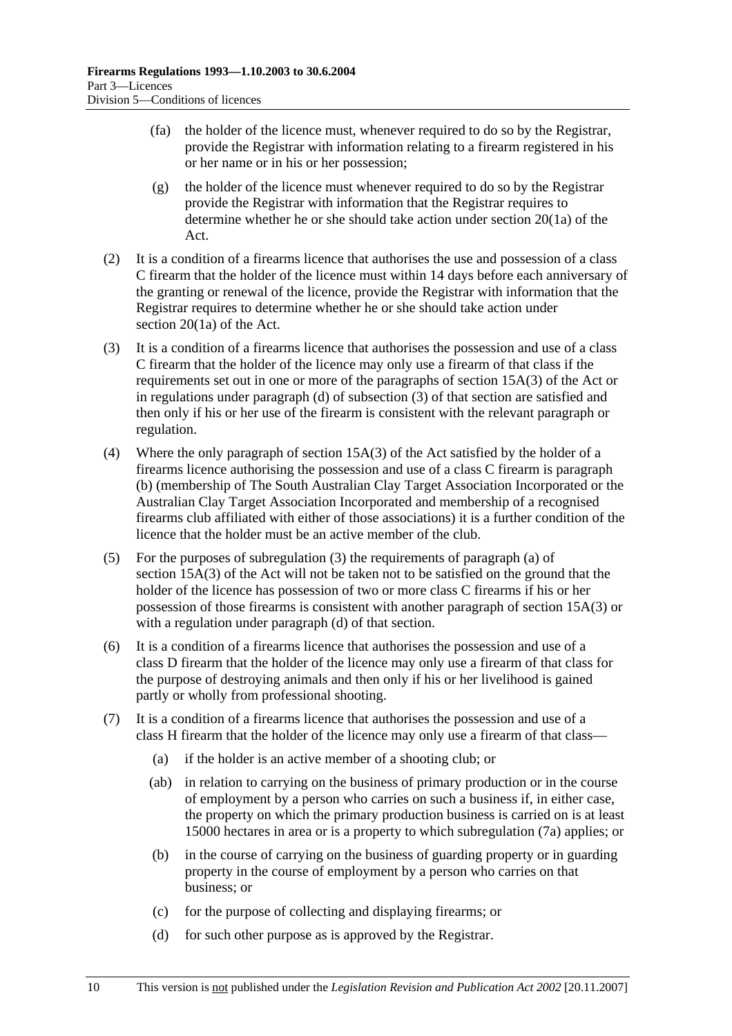- (fa) the holder of the licence must, whenever required to do so by the Registrar, provide the Registrar with information relating to a firearm registered in his or her name or in his or her possession;
- (g) the holder of the licence must whenever required to do so by the Registrar provide the Registrar with information that the Registrar requires to determine whether he or she should take action under section 20(1a) of the Act.
- (2) It is a condition of a firearms licence that authorises the use and possession of a class C firearm that the holder of the licence must within 14 days before each anniversary of the granting or renewal of the licence, provide the Registrar with information that the Registrar requires to determine whether he or she should take action under section 20(1a) of the Act.
- (3) It is a condition of a firearms licence that authorises the possession and use of a class C firearm that the holder of the licence may only use a firearm of that class if the requirements set out in one or more of the paragraphs of section 15A(3) of the Act or in regulations under paragraph (d) of subsection (3) of that section are satisfied and then only if his or her use of the firearm is consistent with the relevant paragraph or regulation.
- (4) Where the only paragraph of section 15A(3) of the Act satisfied by the holder of a firearms licence authorising the possession and use of a class C firearm is paragraph (b) (membership of The South Australian Clay Target Association Incorporated or the Australian Clay Target Association Incorporated and membership of a recognised firearms club affiliated with either of those associations) it is a further condition of the licence that the holder must be an active member of the club.
- (5) For the purposes of subregulation (3) the requirements of paragraph (a) of section 15A(3) of the Act will not be taken not to be satisfied on the ground that the holder of the licence has possession of two or more class C firearms if his or her possession of those firearms is consistent with another paragraph of section 15A(3) or with a regulation under paragraph (d) of that section.
- (6) It is a condition of a firearms licence that authorises the possession and use of a class D firearm that the holder of the licence may only use a firearm of that class for the purpose of destroying animals and then only if his or her livelihood is gained partly or wholly from professional shooting.
- (7) It is a condition of a firearms licence that authorises the possession and use of a class H firearm that the holder of the licence may only use a firearm of that class—
	- (a) if the holder is an active member of a shooting club; or
	- (ab) in relation to carrying on the business of primary production or in the course of employment by a person who carries on such a business if, in either case, the property on which the primary production business is carried on is at least 15000 hectares in area or is a property to which subregulation (7a) applies; or
	- (b) in the course of carrying on the business of guarding property or in guarding property in the course of employment by a person who carries on that business; or
	- (c) for the purpose of collecting and displaying firearms; or
	- (d) for such other purpose as is approved by the Registrar.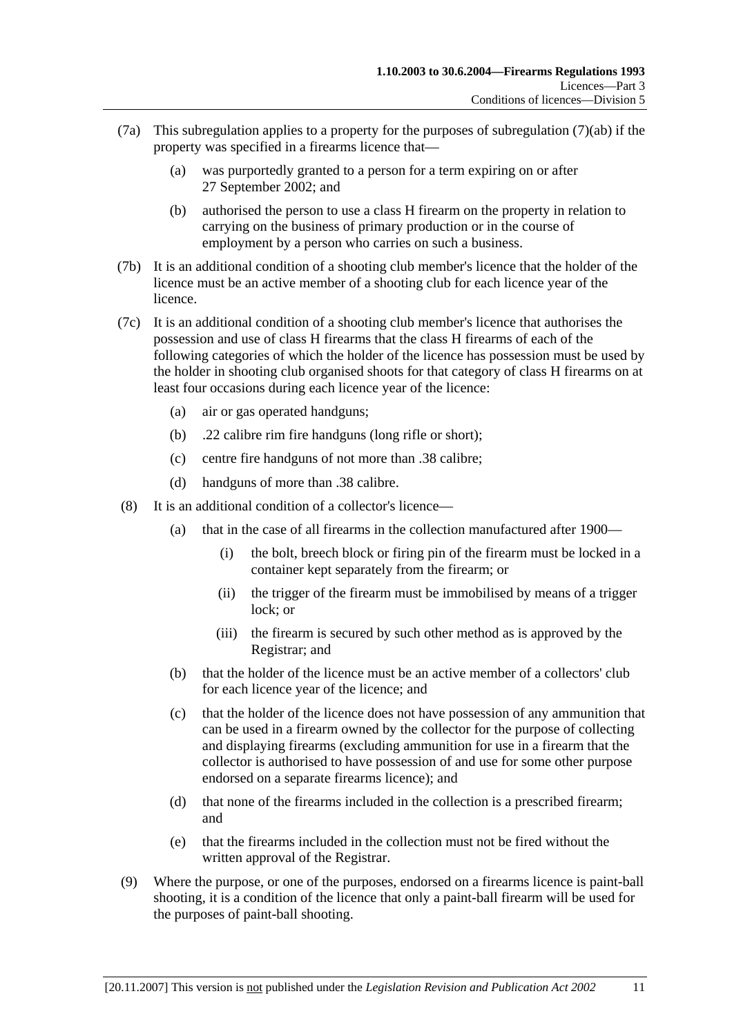- (7a) This subregulation applies to a property for the purposes of subregulation (7)(ab) if the property was specified in a firearms licence that—
	- (a) was purportedly granted to a person for a term expiring on or after 27 September 2002; and
	- (b) authorised the person to use a class H firearm on the property in relation to carrying on the business of primary production or in the course of employment by a person who carries on such a business.
- (7b) It is an additional condition of a shooting club member's licence that the holder of the licence must be an active member of a shooting club for each licence year of the licence.
- (7c) It is an additional condition of a shooting club member's licence that authorises the possession and use of class H firearms that the class H firearms of each of the following categories of which the holder of the licence has possession must be used by the holder in shooting club organised shoots for that category of class H firearms on at least four occasions during each licence year of the licence:
	- (a) air or gas operated handguns;
	- (b) .22 calibre rim fire handguns (long rifle or short);
	- (c) centre fire handguns of not more than .38 calibre;
	- (d) handguns of more than .38 calibre.
- (8) It is an additional condition of a collector's licence—
	- (a) that in the case of all firearms in the collection manufactured after 1900—
		- (i) the bolt, breech block or firing pin of the firearm must be locked in a container kept separately from the firearm; or
		- (ii) the trigger of the firearm must be immobilised by means of a trigger lock; or
		- (iii) the firearm is secured by such other method as is approved by the Registrar; and
	- (b) that the holder of the licence must be an active member of a collectors' club for each licence year of the licence; and
	- (c) that the holder of the licence does not have possession of any ammunition that can be used in a firearm owned by the collector for the purpose of collecting and displaying firearms (excluding ammunition for use in a firearm that the collector is authorised to have possession of and use for some other purpose endorsed on a separate firearms licence); and
	- (d) that none of the firearms included in the collection is a prescribed firearm; and
	- (e) that the firearms included in the collection must not be fired without the written approval of the Registrar.
- (9) Where the purpose, or one of the purposes, endorsed on a firearms licence is paint-ball shooting, it is a condition of the licence that only a paint-ball firearm will be used for the purposes of paint-ball shooting.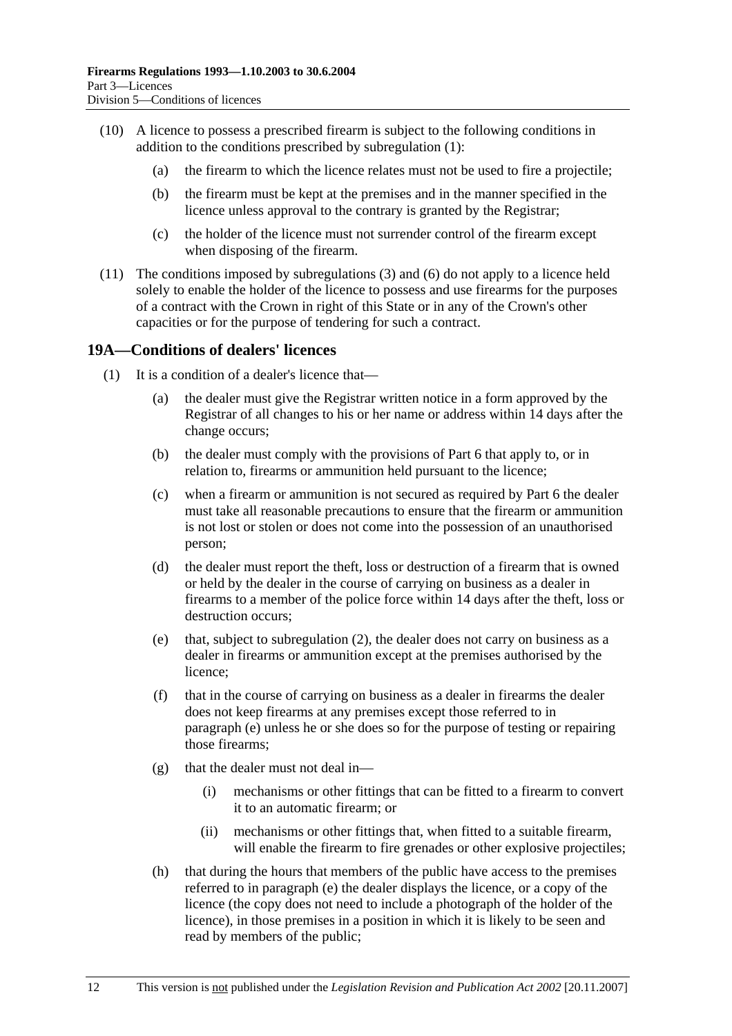- (10) A licence to possess a prescribed firearm is subject to the following conditions in addition to the conditions prescribed by subregulation (1):
	- (a) the firearm to which the licence relates must not be used to fire a projectile;
	- (b) the firearm must be kept at the premises and in the manner specified in the licence unless approval to the contrary is granted by the Registrar;
	- (c) the holder of the licence must not surrender control of the firearm except when disposing of the firearm.
- (11) The conditions imposed by subregulations (3) and (6) do not apply to a licence held solely to enable the holder of the licence to possess and use firearms for the purposes of a contract with the Crown in right of this State or in any of the Crown's other capacities or for the purpose of tendering for such a contract.

## **19A—Conditions of dealers' licences**

- (1) It is a condition of a dealer's licence that—
	- (a) the dealer must give the Registrar written notice in a form approved by the Registrar of all changes to his or her name or address within 14 days after the change occurs;
	- (b) the dealer must comply with the provisions of Part 6 that apply to, or in relation to, firearms or ammunition held pursuant to the licence;
	- (c) when a firearm or ammunition is not secured as required by Part 6 the dealer must take all reasonable precautions to ensure that the firearm or ammunition is not lost or stolen or does not come into the possession of an unauthorised person;
	- (d) the dealer must report the theft, loss or destruction of a firearm that is owned or held by the dealer in the course of carrying on business as a dealer in firearms to a member of the police force within 14 days after the theft, loss or destruction occurs;
	- (e) that, subject to subregulation (2), the dealer does not carry on business as a dealer in firearms or ammunition except at the premises authorised by the licence;
	- (f) that in the course of carrying on business as a dealer in firearms the dealer does not keep firearms at any premises except those referred to in paragraph (e) unless he or she does so for the purpose of testing or repairing those firearms;
	- $(g)$  that the dealer must not deal in—
		- (i) mechanisms or other fittings that can be fitted to a firearm to convert it to an automatic firearm; or
		- (ii) mechanisms or other fittings that, when fitted to a suitable firearm, will enable the firearm to fire grenades or other explosive projectiles;
	- (h) that during the hours that members of the public have access to the premises referred to in paragraph (e) the dealer displays the licence, or a copy of the licence (the copy does not need to include a photograph of the holder of the licence), in those premises in a position in which it is likely to be seen and read by members of the public;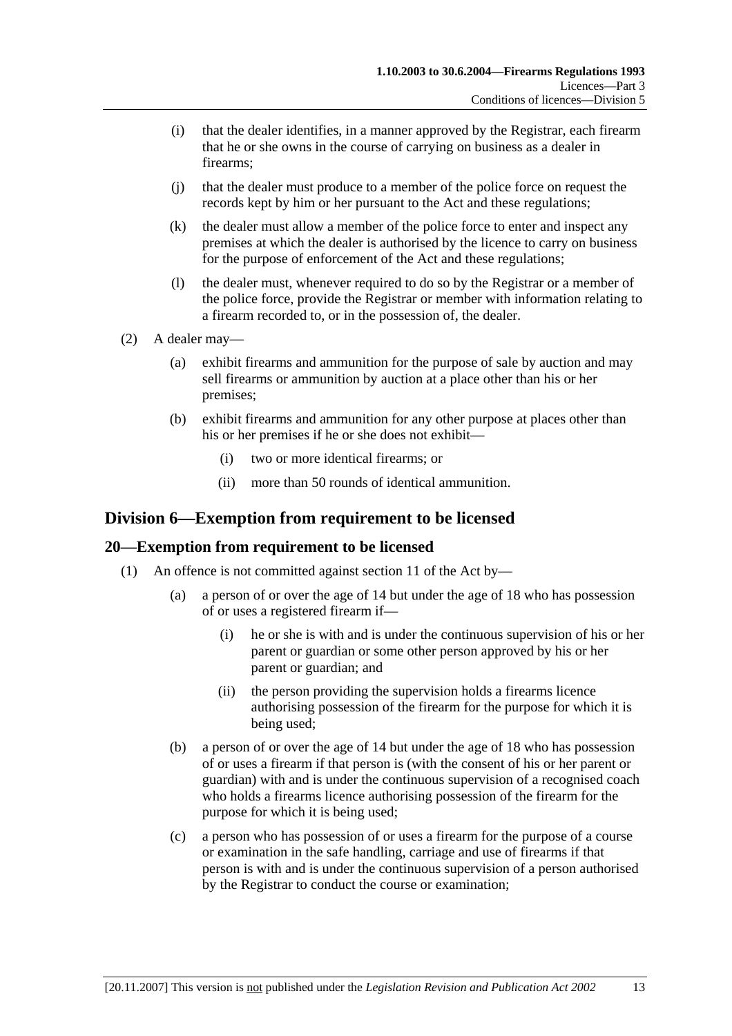- (i) that the dealer identifies, in a manner approved by the Registrar, each firearm that he or she owns in the course of carrying on business as a dealer in firearms;
- (j) that the dealer must produce to a member of the police force on request the records kept by him or her pursuant to the Act and these regulations;
- (k) the dealer must allow a member of the police force to enter and inspect any premises at which the dealer is authorised by the licence to carry on business for the purpose of enforcement of the Act and these regulations;
- (l) the dealer must, whenever required to do so by the Registrar or a member of the police force, provide the Registrar or member with information relating to a firearm recorded to, or in the possession of, the dealer.
- (2) A dealer may—
	- (a) exhibit firearms and ammunition for the purpose of sale by auction and may sell firearms or ammunition by auction at a place other than his or her premises;
	- (b) exhibit firearms and ammunition for any other purpose at places other than his or her premises if he or she does not exhibit—
		- (i) two or more identical firearms; or
		- (ii) more than 50 rounds of identical ammunition.

## **Division 6—Exemption from requirement to be licensed**

## **20—Exemption from requirement to be licensed**

- (1) An offence is not committed against section 11 of the Act by—
	- (a) a person of or over the age of 14 but under the age of 18 who has possession of or uses a registered firearm if—
		- (i) he or she is with and is under the continuous supervision of his or her parent or guardian or some other person approved by his or her parent or guardian; and
		- (ii) the person providing the supervision holds a firearms licence authorising possession of the firearm for the purpose for which it is being used;
	- (b) a person of or over the age of 14 but under the age of 18 who has possession of or uses a firearm if that person is (with the consent of his or her parent or guardian) with and is under the continuous supervision of a recognised coach who holds a firearms licence authorising possession of the firearm for the purpose for which it is being used;
	- (c) a person who has possession of or uses a firearm for the purpose of a course or examination in the safe handling, carriage and use of firearms if that person is with and is under the continuous supervision of a person authorised by the Registrar to conduct the course or examination;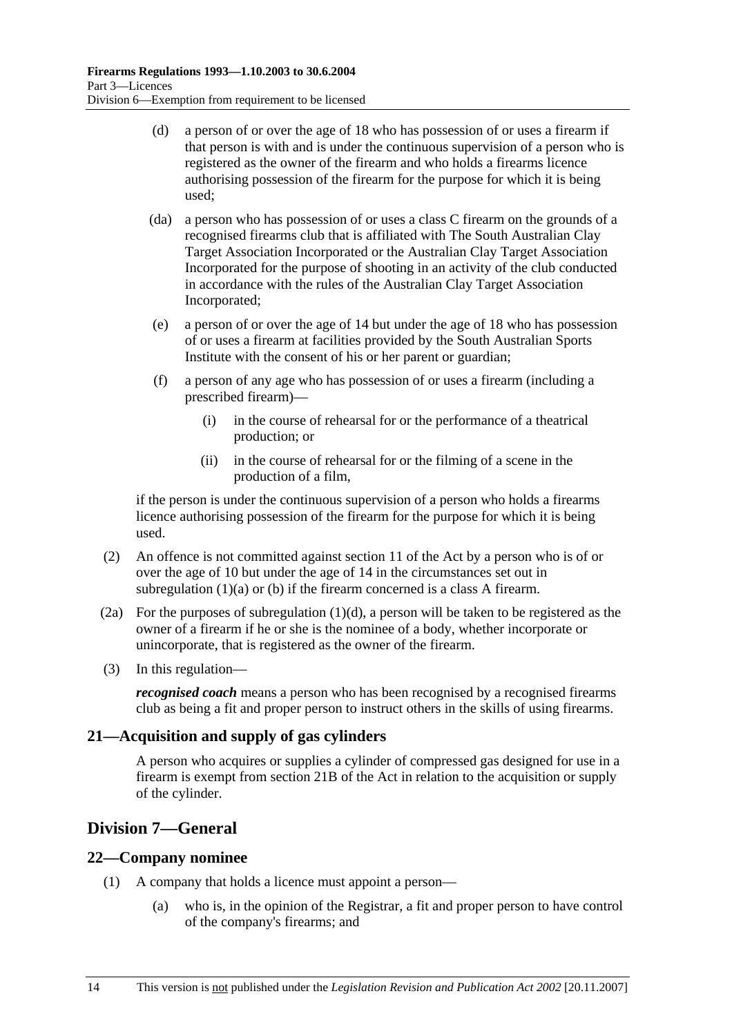- (d) a person of or over the age of 18 who has possession of or uses a firearm if that person is with and is under the continuous supervision of a person who is registered as the owner of the firearm and who holds a firearms licence authorising possession of the firearm for the purpose for which it is being used;
- (da) a person who has possession of or uses a class C firearm on the grounds of a recognised firearms club that is affiliated with The South Australian Clay Target Association Incorporated or the Australian Clay Target Association Incorporated for the purpose of shooting in an activity of the club conducted in accordance with the rules of the Australian Clay Target Association Incorporated;
- (e) a person of or over the age of 14 but under the age of 18 who has possession of or uses a firearm at facilities provided by the South Australian Sports Institute with the consent of his or her parent or guardian;
- (f) a person of any age who has possession of or uses a firearm (including a prescribed firearm)—
	- (i) in the course of rehearsal for or the performance of a theatrical production; or
	- (ii) in the course of rehearsal for or the filming of a scene in the production of a film,

if the person is under the continuous supervision of a person who holds a firearms licence authorising possession of the firearm for the purpose for which it is being used.

- (2) An offence is not committed against section 11 of the Act by a person who is of or over the age of 10 but under the age of 14 in the circumstances set out in subregulation (1)(a) or (b) if the firearm concerned is a class A firearm.
- (2a) For the purposes of subregulation (1)(d), a person will be taken to be registered as the owner of a firearm if he or she is the nominee of a body, whether incorporate or unincorporate, that is registered as the owner of the firearm.
- (3) In this regulation—

*recognised coach* means a person who has been recognised by a recognised firearms club as being a fit and proper person to instruct others in the skills of using firearms.

## **21—Acquisition and supply of gas cylinders**

A person who acquires or supplies a cylinder of compressed gas designed for use in a firearm is exempt from section 21B of the Act in relation to the acquisition or supply of the cylinder.

## **Division 7—General**

## **22—Company nominee**

- (1) A company that holds a licence must appoint a person—
	- (a) who is, in the opinion of the Registrar, a fit and proper person to have control of the company's firearms; and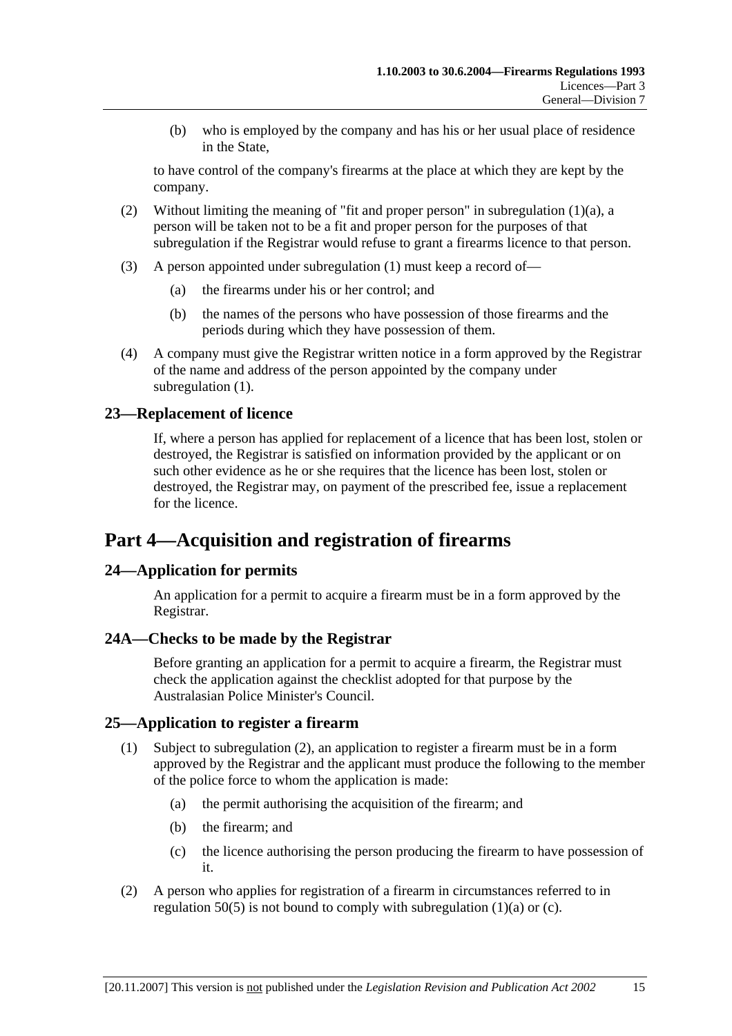(b) who is employed by the company and has his or her usual place of residence in the State,

to have control of the company's firearms at the place at which they are kept by the company.

- (2) Without limiting the meaning of "fit and proper person" in subregulation (1)(a), a person will be taken not to be a fit and proper person for the purposes of that subregulation if the Registrar would refuse to grant a firearms licence to that person.
- (3) A person appointed under subregulation (1) must keep a record of—
	- (a) the firearms under his or her control; and
	- (b) the names of the persons who have possession of those firearms and the periods during which they have possession of them.
- (4) A company must give the Registrar written notice in a form approved by the Registrar of the name and address of the person appointed by the company under subregulation (1).

## **23—Replacement of licence**

If, where a person has applied for replacement of a licence that has been lost, stolen or destroyed, the Registrar is satisfied on information provided by the applicant or on such other evidence as he or she requires that the licence has been lost, stolen or destroyed, the Registrar may, on payment of the prescribed fee, issue a replacement for the licence.

# **Part 4—Acquisition and registration of firearms**

## **24—Application for permits**

An application for a permit to acquire a firearm must be in a form approved by the Registrar.

#### **24A—Checks to be made by the Registrar**

Before granting an application for a permit to acquire a firearm, the Registrar must check the application against the checklist adopted for that purpose by the Australasian Police Minister's Council.

#### **25—Application to register a firearm**

- (1) Subject to subregulation (2), an application to register a firearm must be in a form approved by the Registrar and the applicant must produce the following to the member of the police force to whom the application is made:
	- (a) the permit authorising the acquisition of the firearm; and
	- (b) the firearm; and
	- (c) the licence authorising the person producing the firearm to have possession of it.
- (2) A person who applies for registration of a firearm in circumstances referred to in regulation 50(5) is not bound to comply with subregulation (1)(a) or (c).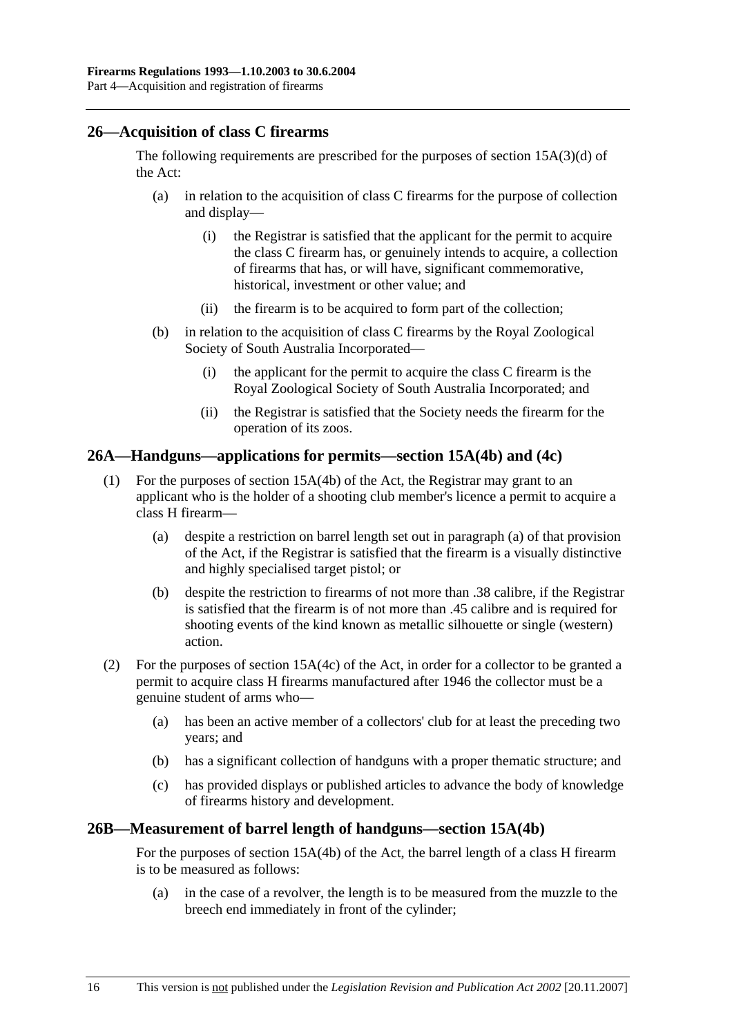## **26—Acquisition of class C firearms**

The following requirements are prescribed for the purposes of section 15A(3)(d) of the Act:

- (a) in relation to the acquisition of class C firearms for the purpose of collection and display—
	- (i) the Registrar is satisfied that the applicant for the permit to acquire the class C firearm has, or genuinely intends to acquire, a collection of firearms that has, or will have, significant commemorative, historical, investment or other value; and
	- (ii) the firearm is to be acquired to form part of the collection;
- (b) in relation to the acquisition of class C firearms by the Royal Zoological Society of South Australia Incorporated—
	- (i) the applicant for the permit to acquire the class C firearm is the Royal Zoological Society of South Australia Incorporated; and
	- (ii) the Registrar is satisfied that the Society needs the firearm for the operation of its zoos.

## **26A—Handguns—applications for permits—section 15A(4b) and (4c)**

- (1) For the purposes of section 15A(4b) of the Act, the Registrar may grant to an applicant who is the holder of a shooting club member's licence a permit to acquire a class H firearm—
	- (a) despite a restriction on barrel length set out in paragraph (a) of that provision of the Act, if the Registrar is satisfied that the firearm is a visually distinctive and highly specialised target pistol; or
	- (b) despite the restriction to firearms of not more than .38 calibre, if the Registrar is satisfied that the firearm is of not more than .45 calibre and is required for shooting events of the kind known as metallic silhouette or single (western) action.
- (2) For the purposes of section 15A(4c) of the Act, in order for a collector to be granted a permit to acquire class H firearms manufactured after 1946 the collector must be a genuine student of arms who—
	- (a) has been an active member of a collectors' club for at least the preceding two years; and
	- (b) has a significant collection of handguns with a proper thematic structure; and
	- (c) has provided displays or published articles to advance the body of knowledge of firearms history and development.

#### **26B—Measurement of barrel length of handguns—section 15A(4b)**

For the purposes of section 15A(4b) of the Act, the barrel length of a class H firearm is to be measured as follows:

 (a) in the case of a revolver, the length is to be measured from the muzzle to the breech end immediately in front of the cylinder;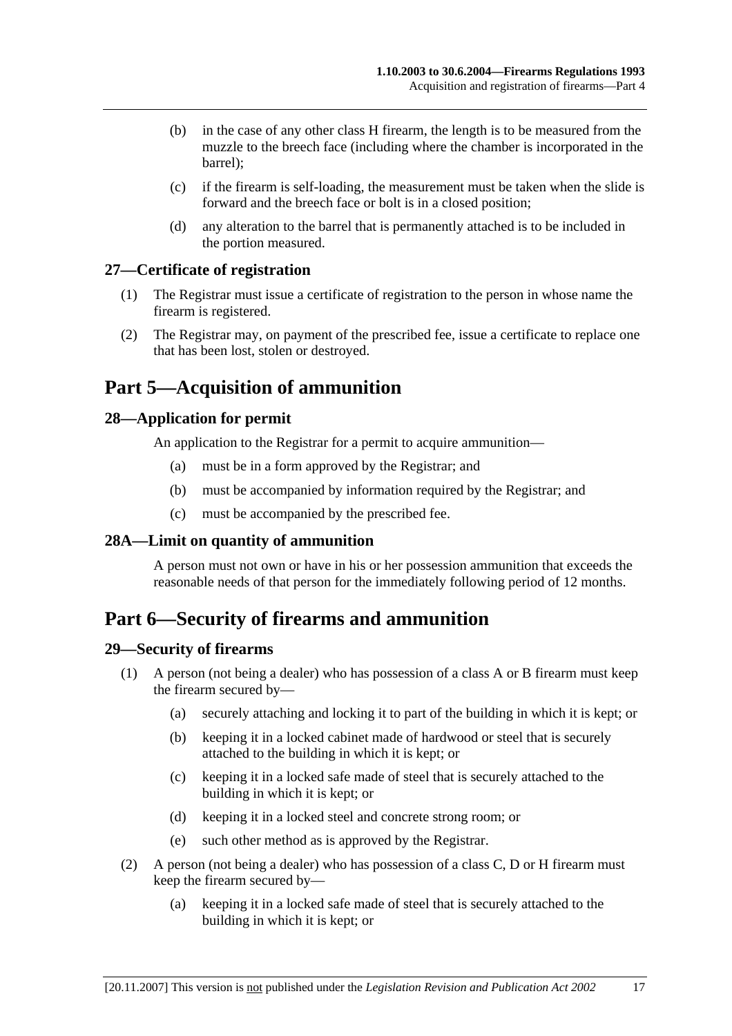- (b) in the case of any other class H firearm, the length is to be measured from the muzzle to the breech face (including where the chamber is incorporated in the barrel);
- (c) if the firearm is self-loading, the measurement must be taken when the slide is forward and the breech face or bolt is in a closed position;
- (d) any alteration to the barrel that is permanently attached is to be included in the portion measured.

## **27—Certificate of registration**

- (1) The Registrar must issue a certificate of registration to the person in whose name the firearm is registered.
- (2) The Registrar may, on payment of the prescribed fee, issue a certificate to replace one that has been lost, stolen or destroyed.

# **Part 5—Acquisition of ammunition**

## **28—Application for permit**

An application to the Registrar for a permit to acquire ammunition—

- (a) must be in a form approved by the Registrar; and
- (b) must be accompanied by information required by the Registrar; and
- (c) must be accompanied by the prescribed fee.

## **28A—Limit on quantity of ammunition**

A person must not own or have in his or her possession ammunition that exceeds the reasonable needs of that person for the immediately following period of 12 months.

# **Part 6—Security of firearms and ammunition**

#### **29—Security of firearms**

- (1) A person (not being a dealer) who has possession of a class A or B firearm must keep the firearm secured by—
	- (a) securely attaching and locking it to part of the building in which it is kept; or
	- (b) keeping it in a locked cabinet made of hardwood or steel that is securely attached to the building in which it is kept; or
	- (c) keeping it in a locked safe made of steel that is securely attached to the building in which it is kept; or
	- (d) keeping it in a locked steel and concrete strong room; or
	- (e) such other method as is approved by the Registrar.
- (2) A person (not being a dealer) who has possession of a class C, D or H firearm must keep the firearm secured by—
	- (a) keeping it in a locked safe made of steel that is securely attached to the building in which it is kept; or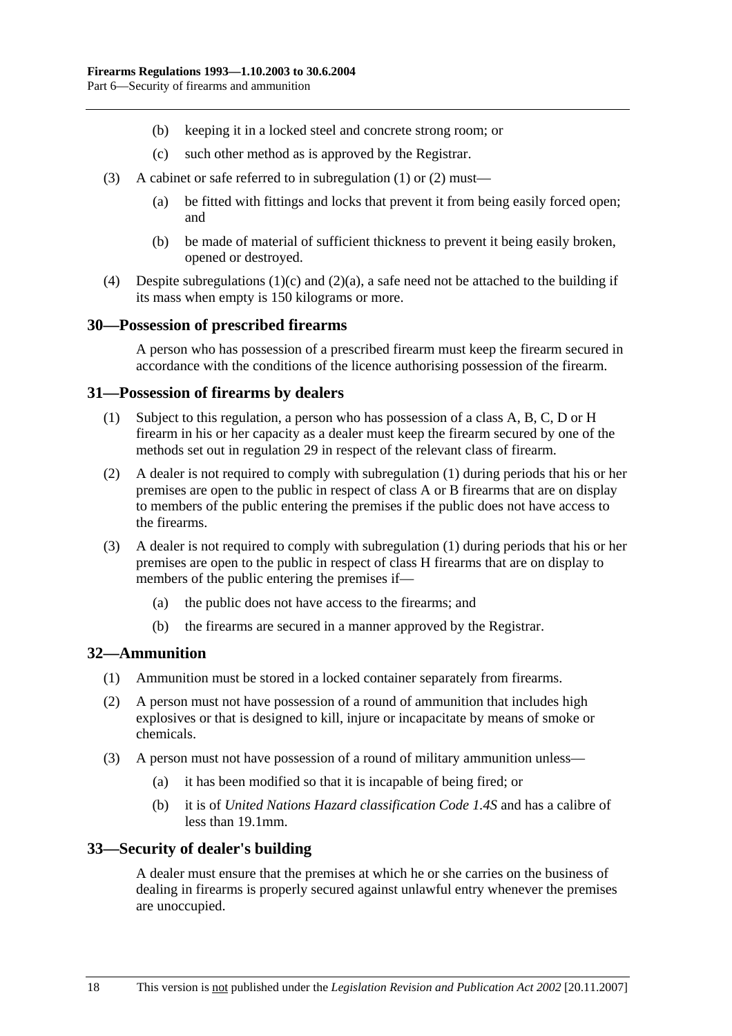- (b) keeping it in a locked steel and concrete strong room; or
- (c) such other method as is approved by the Registrar.
- (3) A cabinet or safe referred to in subregulation (1) or (2) must—
	- (a) be fitted with fittings and locks that prevent it from being easily forced open; and
	- (b) be made of material of sufficient thickness to prevent it being easily broken, opened or destroyed.
- (4) Despite subregulations (1)(c) and (2)(a), a safe need not be attached to the building if its mass when empty is 150 kilograms or more.

#### **30—Possession of prescribed firearms**

A person who has possession of a prescribed firearm must keep the firearm secured in accordance with the conditions of the licence authorising possession of the firearm.

#### **31—Possession of firearms by dealers**

- (1) Subject to this regulation, a person who has possession of a class A, B, C, D or H firearm in his or her capacity as a dealer must keep the firearm secured by one of the methods set out in regulation 29 in respect of the relevant class of firearm.
- (2) A dealer is not required to comply with subregulation (1) during periods that his or her premises are open to the public in respect of class A or B firearms that are on display to members of the public entering the premises if the public does not have access to the firearms.
- (3) A dealer is not required to comply with subregulation (1) during periods that his or her premises are open to the public in respect of class H firearms that are on display to members of the public entering the premises if—
	- (a) the public does not have access to the firearms; and
	- (b) the firearms are secured in a manner approved by the Registrar.

#### **32—Ammunition**

- (1) Ammunition must be stored in a locked container separately from firearms.
- (2) A person must not have possession of a round of ammunition that includes high explosives or that is designed to kill, injure or incapacitate by means of smoke or chemicals.
- (3) A person must not have possession of a round of military ammunition unless—
	- (a) it has been modified so that it is incapable of being fired; or
	- (b) it is of *United Nations Hazard classification Code 1.4S* and has a calibre of less than 19.1mm.

#### **33—Security of dealer's building**

A dealer must ensure that the premises at which he or she carries on the business of dealing in firearms is properly secured against unlawful entry whenever the premises are unoccupied.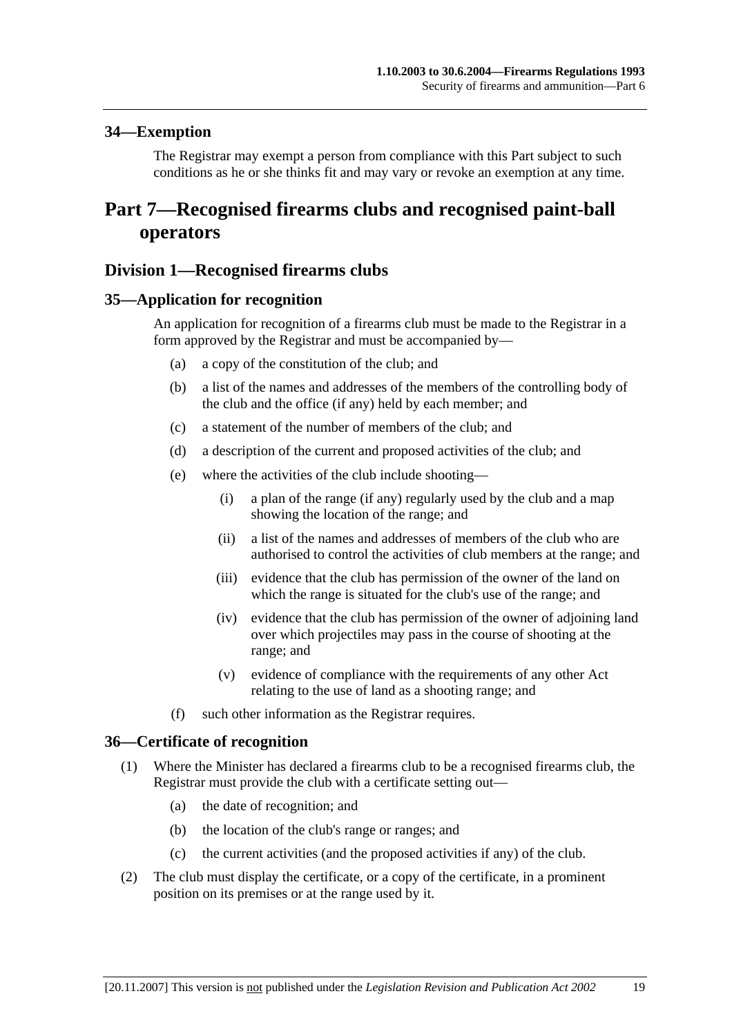## **34—Exemption**

The Registrar may exempt a person from compliance with this Part subject to such conditions as he or she thinks fit and may vary or revoke an exemption at any time.

# **Part 7—Recognised firearms clubs and recognised paint-ball operators**

## **Division 1—Recognised firearms clubs**

#### **35—Application for recognition**

An application for recognition of a firearms club must be made to the Registrar in a form approved by the Registrar and must be accompanied by—

- (a) a copy of the constitution of the club; and
- (b) a list of the names and addresses of the members of the controlling body of the club and the office (if any) held by each member; and
- (c) a statement of the number of members of the club; and
- (d) a description of the current and proposed activities of the club; and
- (e) where the activities of the club include shooting—
	- (i) a plan of the range (if any) regularly used by the club and a map showing the location of the range; and
	- (ii) a list of the names and addresses of members of the club who are authorised to control the activities of club members at the range; and
	- (iii) evidence that the club has permission of the owner of the land on which the range is situated for the club's use of the range; and
	- (iv) evidence that the club has permission of the owner of adjoining land over which projectiles may pass in the course of shooting at the range; and
	- (v) evidence of compliance with the requirements of any other Act relating to the use of land as a shooting range; and
- (f) such other information as the Registrar requires.

#### **36—Certificate of recognition**

- (1) Where the Minister has declared a firearms club to be a recognised firearms club, the Registrar must provide the club with a certificate setting out—
	- (a) the date of recognition; and
	- (b) the location of the club's range or ranges; and
	- (c) the current activities (and the proposed activities if any) of the club.
- (2) The club must display the certificate, or a copy of the certificate, in a prominent position on its premises or at the range used by it.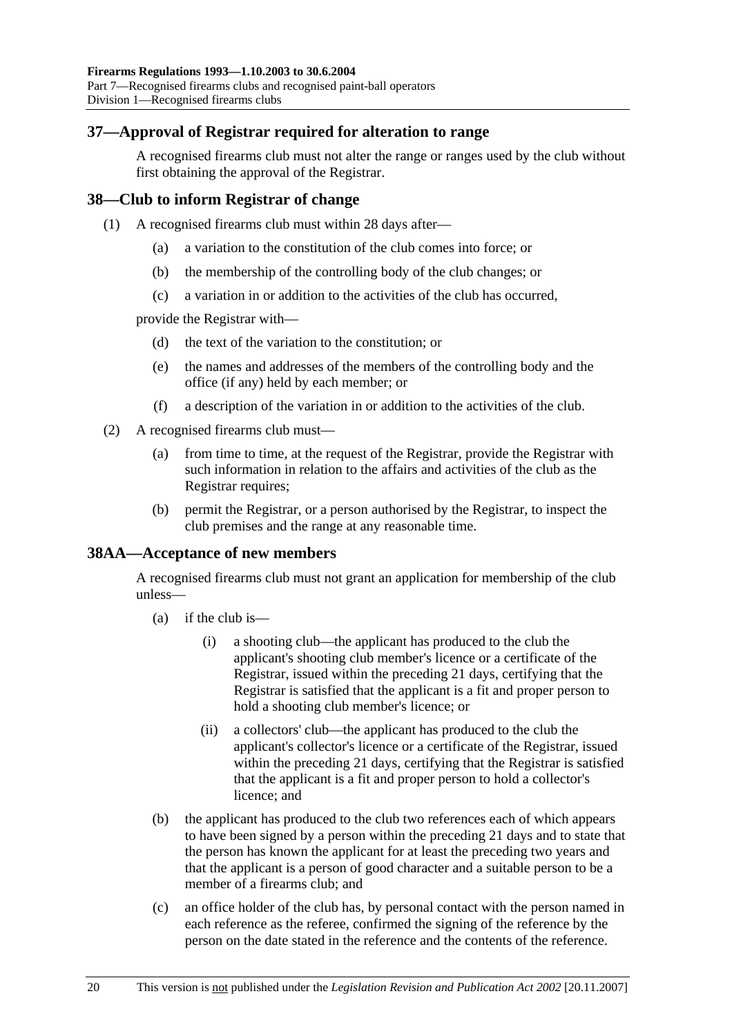## **37—Approval of Registrar required for alteration to range**

A recognised firearms club must not alter the range or ranges used by the club without first obtaining the approval of the Registrar.

## **38—Club to inform Registrar of change**

- (1) A recognised firearms club must within 28 days after—
	- (a) a variation to the constitution of the club comes into force; or
	- (b) the membership of the controlling body of the club changes; or
	- (c) a variation in or addition to the activities of the club has occurred,

provide the Registrar with—

- (d) the text of the variation to the constitution; or
- (e) the names and addresses of the members of the controlling body and the office (if any) held by each member; or
- (f) a description of the variation in or addition to the activities of the club.
- (2) A recognised firearms club must—
	- (a) from time to time, at the request of the Registrar, provide the Registrar with such information in relation to the affairs and activities of the club as the Registrar requires;
	- (b) permit the Registrar, or a person authorised by the Registrar, to inspect the club premises and the range at any reasonable time.

## **38AA—Acceptance of new members**

A recognised firearms club must not grant an application for membership of the club unless—

- (a) if the club is—
	- (i) a shooting club—the applicant has produced to the club the applicant's shooting club member's licence or a certificate of the Registrar, issued within the preceding 21 days, certifying that the Registrar is satisfied that the applicant is a fit and proper person to hold a shooting club member's licence; or
	- (ii) a collectors' club—the applicant has produced to the club the applicant's collector's licence or a certificate of the Registrar, issued within the preceding 21 days, certifying that the Registrar is satisfied that the applicant is a fit and proper person to hold a collector's licence; and
- (b) the applicant has produced to the club two references each of which appears to have been signed by a person within the preceding 21 days and to state that the person has known the applicant for at least the preceding two years and that the applicant is a person of good character and a suitable person to be a member of a firearms club; and
- (c) an office holder of the club has, by personal contact with the person named in each reference as the referee, confirmed the signing of the reference by the person on the date stated in the reference and the contents of the reference.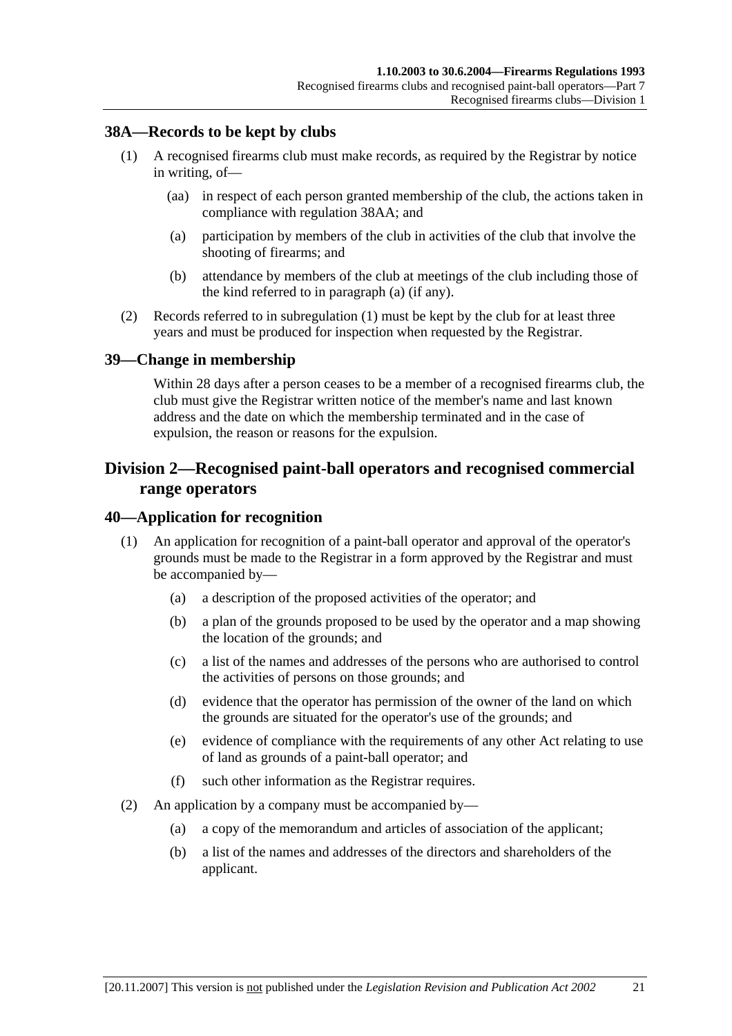## **38A—Records to be kept by clubs**

- (1) A recognised firearms club must make records, as required by the Registrar by notice in writing, of—
	- (aa) in respect of each person granted membership of the club, the actions taken in compliance with regulation 38AA; and
	- (a) participation by members of the club in activities of the club that involve the shooting of firearms; and
	- (b) attendance by members of the club at meetings of the club including those of the kind referred to in paragraph (a) (if any).
- (2) Records referred to in subregulation (1) must be kept by the club for at least three years and must be produced for inspection when requested by the Registrar.

#### **39—Change in membership**

Within 28 days after a person ceases to be a member of a recognised firearms club, the club must give the Registrar written notice of the member's name and last known address and the date on which the membership terminated and in the case of expulsion, the reason or reasons for the expulsion.

## **Division 2—Recognised paint-ball operators and recognised commercial range operators**

#### **40—Application for recognition**

- (1) An application for recognition of a paint-ball operator and approval of the operator's grounds must be made to the Registrar in a form approved by the Registrar and must be accompanied by—
	- (a) a description of the proposed activities of the operator; and
	- (b) a plan of the grounds proposed to be used by the operator and a map showing the location of the grounds; and
	- (c) a list of the names and addresses of the persons who are authorised to control the activities of persons on those grounds; and
	- (d) evidence that the operator has permission of the owner of the land on which the grounds are situated for the operator's use of the grounds; and
	- (e) evidence of compliance with the requirements of any other Act relating to use of land as grounds of a paint-ball operator; and
	- (f) such other information as the Registrar requires.
- (2) An application by a company must be accompanied by—
	- (a) a copy of the memorandum and articles of association of the applicant;
	- (b) a list of the names and addresses of the directors and shareholders of the applicant.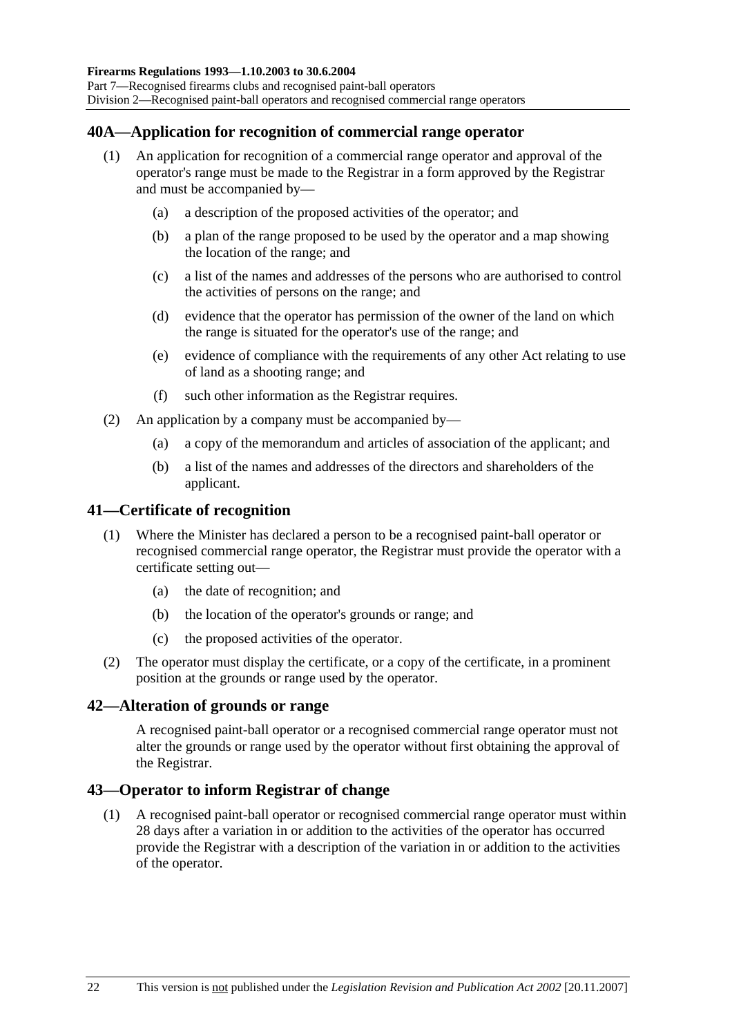## **40A—Application for recognition of commercial range operator**

- (1) An application for recognition of a commercial range operator and approval of the operator's range must be made to the Registrar in a form approved by the Registrar and must be accompanied by—
	- (a) a description of the proposed activities of the operator; and
	- (b) a plan of the range proposed to be used by the operator and a map showing the location of the range; and
	- (c) a list of the names and addresses of the persons who are authorised to control the activities of persons on the range; and
	- (d) evidence that the operator has permission of the owner of the land on which the range is situated for the operator's use of the range; and
	- (e) evidence of compliance with the requirements of any other Act relating to use of land as a shooting range; and
	- (f) such other information as the Registrar requires.
- (2) An application by a company must be accompanied by—
	- (a) a copy of the memorandum and articles of association of the applicant; and
	- (b) a list of the names and addresses of the directors and shareholders of the applicant.

#### **41—Certificate of recognition**

- (1) Where the Minister has declared a person to be a recognised paint-ball operator or recognised commercial range operator, the Registrar must provide the operator with a certificate setting out—
	- (a) the date of recognition; and
	- (b) the location of the operator's grounds or range; and
	- (c) the proposed activities of the operator.
- (2) The operator must display the certificate, or a copy of the certificate, in a prominent position at the grounds or range used by the operator.

#### **42—Alteration of grounds or range**

A recognised paint-ball operator or a recognised commercial range operator must not alter the grounds or range used by the operator without first obtaining the approval of the Registrar.

#### **43—Operator to inform Registrar of change**

 (1) A recognised paint-ball operator or recognised commercial range operator must within 28 days after a variation in or addition to the activities of the operator has occurred provide the Registrar with a description of the variation in or addition to the activities of the operator.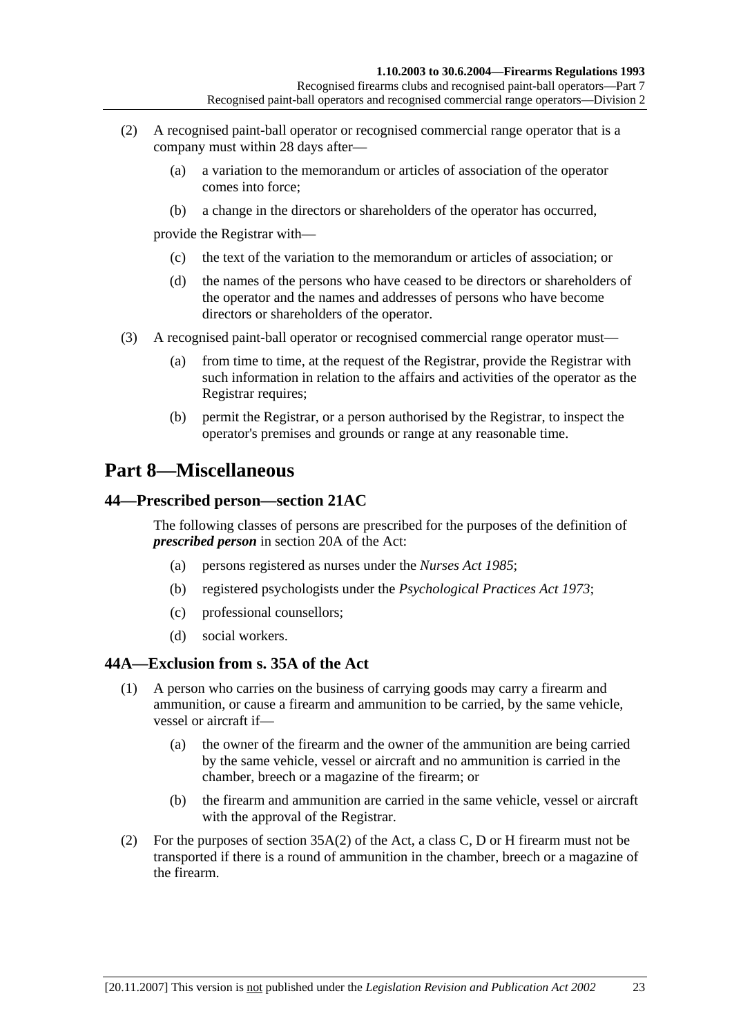- (2) A recognised paint-ball operator or recognised commercial range operator that is a company must within 28 days after—
	- (a) a variation to the memorandum or articles of association of the operator comes into force;
	- (b) a change in the directors or shareholders of the operator has occurred,

provide the Registrar with—

- (c) the text of the variation to the memorandum or articles of association; or
- (d) the names of the persons who have ceased to be directors or shareholders of the operator and the names and addresses of persons who have become directors or shareholders of the operator.
- (3) A recognised paint-ball operator or recognised commercial range operator must—
	- (a) from time to time, at the request of the Registrar, provide the Registrar with such information in relation to the affairs and activities of the operator as the Registrar requires;
	- (b) permit the Registrar, or a person authorised by the Registrar, to inspect the operator's premises and grounds or range at any reasonable time.

# **Part 8—Miscellaneous**

## **44—Prescribed person—section 21AC**

The following classes of persons are prescribed for the purposes of the definition of *prescribed person* in section 20A of the Act:

- (a) persons registered as nurses under the *Nurses Act 1985*;
- (b) registered psychologists under the *Psychological Practices Act 1973*;
- (c) professional counsellors;
- (d) social workers.

#### **44A—Exclusion from s. 35A of the Act**

- (1) A person who carries on the business of carrying goods may carry a firearm and ammunition, or cause a firearm and ammunition to be carried, by the same vehicle, vessel or aircraft if—
	- (a) the owner of the firearm and the owner of the ammunition are being carried by the same vehicle, vessel or aircraft and no ammunition is carried in the chamber, breech or a magazine of the firearm; or
	- (b) the firearm and ammunition are carried in the same vehicle, vessel or aircraft with the approval of the Registrar.
- (2) For the purposes of section 35A(2) of the Act, a class C, D or H firearm must not be transported if there is a round of ammunition in the chamber, breech or a magazine of the firearm.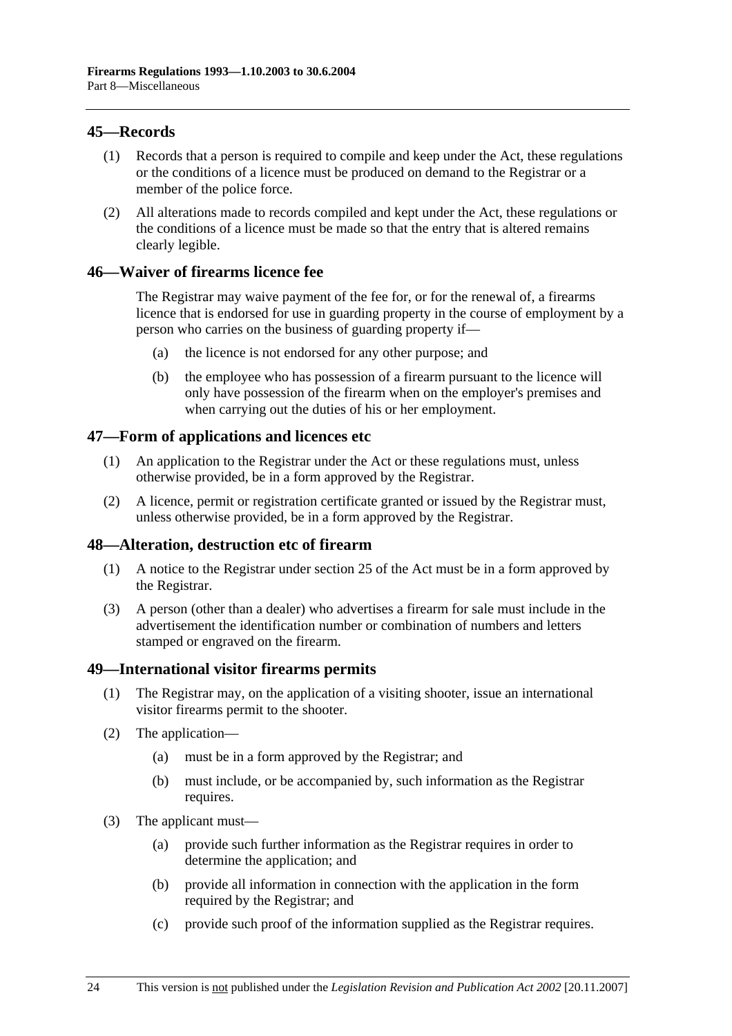## **45—Records**

- (1) Records that a person is required to compile and keep under the Act, these regulations or the conditions of a licence must be produced on demand to the Registrar or a member of the police force.
- (2) All alterations made to records compiled and kept under the Act, these regulations or the conditions of a licence must be made so that the entry that is altered remains clearly legible.

## **46—Waiver of firearms licence fee**

The Registrar may waive payment of the fee for, or for the renewal of, a firearms licence that is endorsed for use in guarding property in the course of employment by a person who carries on the business of guarding property if—

- (a) the licence is not endorsed for any other purpose; and
- (b) the employee who has possession of a firearm pursuant to the licence will only have possession of the firearm when on the employer's premises and when carrying out the duties of his or her employment.

## **47—Form of applications and licences etc**

- (1) An application to the Registrar under the Act or these regulations must, unless otherwise provided, be in a form approved by the Registrar.
- (2) A licence, permit or registration certificate granted or issued by the Registrar must, unless otherwise provided, be in a form approved by the Registrar.

#### **48—Alteration, destruction etc of firearm**

- (1) A notice to the Registrar under section 25 of the Act must be in a form approved by the Registrar.
- (3) A person (other than a dealer) who advertises a firearm for sale must include in the advertisement the identification number or combination of numbers and letters stamped or engraved on the firearm.

#### **49—International visitor firearms permits**

- (1) The Registrar may, on the application of a visiting shooter, issue an international visitor firearms permit to the shooter.
- (2) The application—
	- (a) must be in a form approved by the Registrar; and
	- (b) must include, or be accompanied by, such information as the Registrar requires.
- (3) The applicant must—
	- (a) provide such further information as the Registrar requires in order to determine the application; and
	- (b) provide all information in connection with the application in the form required by the Registrar; and
	- (c) provide such proof of the information supplied as the Registrar requires.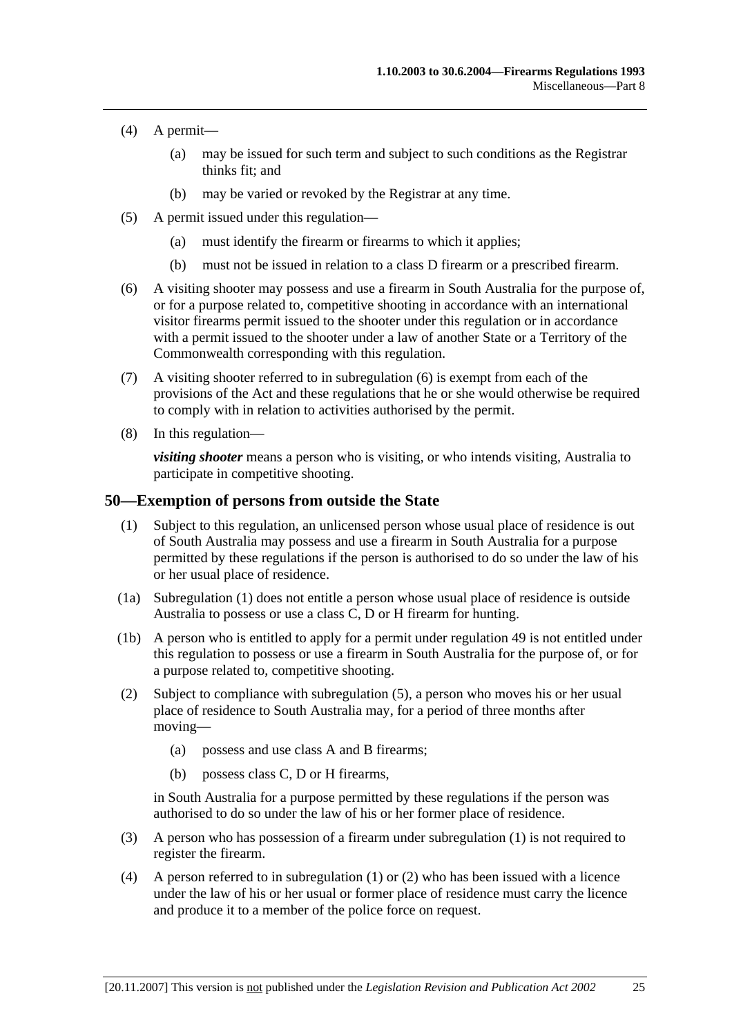- (4) A permit—
	- (a) may be issued for such term and subject to such conditions as the Registrar thinks fit; and
	- (b) may be varied or revoked by the Registrar at any time.
- (5) A permit issued under this regulation—
	- (a) must identify the firearm or firearms to which it applies;
	- (b) must not be issued in relation to a class D firearm or a prescribed firearm.
- (6) A visiting shooter may possess and use a firearm in South Australia for the purpose of, or for a purpose related to, competitive shooting in accordance with an international visitor firearms permit issued to the shooter under this regulation or in accordance with a permit issued to the shooter under a law of another State or a Territory of the Commonwealth corresponding with this regulation.
- (7) A visiting shooter referred to in subregulation (6) is exempt from each of the provisions of the Act and these regulations that he or she would otherwise be required to comply with in relation to activities authorised by the permit.
- (8) In this regulation—

*visiting shooter* means a person who is visiting, or who intends visiting, Australia to participate in competitive shooting.

#### **50—Exemption of persons from outside the State**

- (1) Subject to this regulation, an unlicensed person whose usual place of residence is out of South Australia may possess and use a firearm in South Australia for a purpose permitted by these regulations if the person is authorised to do so under the law of his or her usual place of residence.
- (1a) Subregulation (1) does not entitle a person whose usual place of residence is outside Australia to possess or use a class C, D or H firearm for hunting.
- (1b) A person who is entitled to apply for a permit under regulation 49 is not entitled under this regulation to possess or use a firearm in South Australia for the purpose of, or for a purpose related to, competitive shooting.
- (2) Subject to compliance with subregulation (5), a person who moves his or her usual place of residence to South Australia may, for a period of three months after moving—
	- (a) possess and use class A and B firearms;
	- (b) possess class C, D or H firearms,

in South Australia for a purpose permitted by these regulations if the person was authorised to do so under the law of his or her former place of residence.

- (3) A person who has possession of a firearm under subregulation (1) is not required to register the firearm.
- (4) A person referred to in subregulation (1) or (2) who has been issued with a licence under the law of his or her usual or former place of residence must carry the licence and produce it to a member of the police force on request.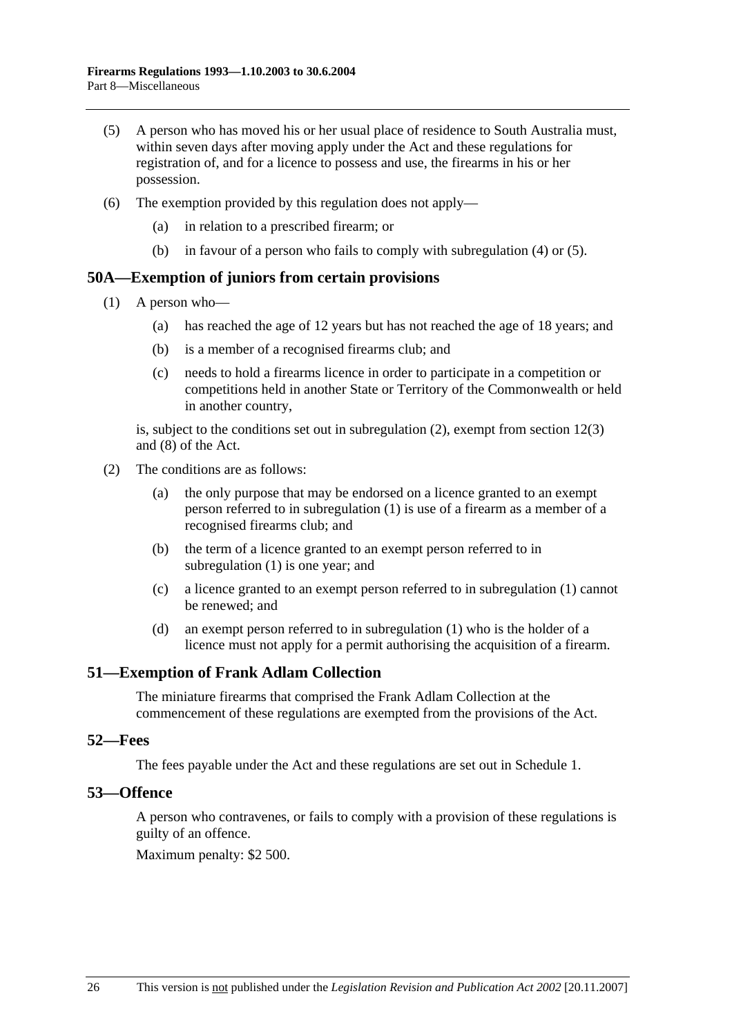- (5) A person who has moved his or her usual place of residence to South Australia must, within seven days after moving apply under the Act and these regulations for registration of, and for a licence to possess and use, the firearms in his or her possession.
- (6) The exemption provided by this regulation does not apply—
	- (a) in relation to a prescribed firearm; or
	- (b) in favour of a person who fails to comply with subregulation (4) or (5).

#### **50A—Exemption of juniors from certain provisions**

- (1) A person who—
	- (a) has reached the age of 12 years but has not reached the age of 18 years; and
	- (b) is a member of a recognised firearms club; and
	- (c) needs to hold a firearms licence in order to participate in a competition or competitions held in another State or Territory of the Commonwealth or held in another country,

is, subject to the conditions set out in subregulation (2), exempt from section 12(3) and (8) of the Act.

- (2) The conditions are as follows:
	- (a) the only purpose that may be endorsed on a licence granted to an exempt person referred to in subregulation (1) is use of a firearm as a member of a recognised firearms club; and
	- (b) the term of a licence granted to an exempt person referred to in subregulation (1) is one year; and
	- (c) a licence granted to an exempt person referred to in subregulation (1) cannot be renewed; and
	- (d) an exempt person referred to in subregulation (1) who is the holder of a licence must not apply for a permit authorising the acquisition of a firearm.

#### **51—Exemption of Frank Adlam Collection**

The miniature firearms that comprised the Frank Adlam Collection at the commencement of these regulations are exempted from the provisions of the Act.

#### **52—Fees**

The fees payable under the Act and these regulations are set out in Schedule 1.

#### **53—Offence**

A person who contravenes, or fails to comply with a provision of these regulations is guilty of an offence.

Maximum penalty: \$2 500.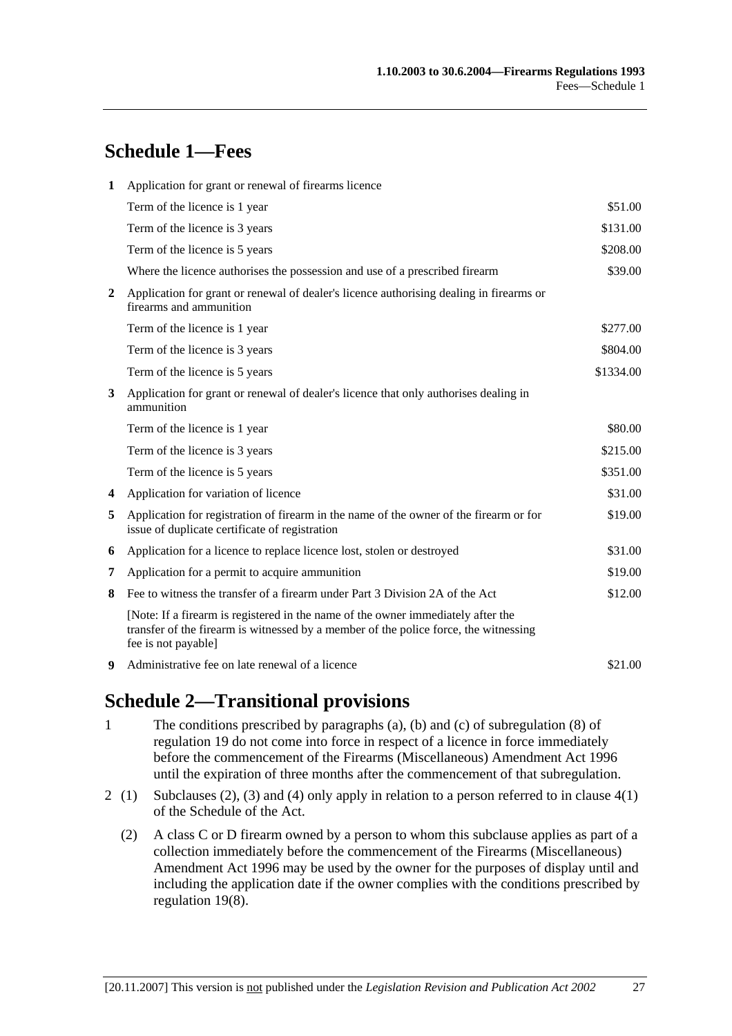# **Schedule 1—Fees**

| 1                       | Application for grant or renewal of firearms licence                                                                                                                                            |           |  |  |
|-------------------------|-------------------------------------------------------------------------------------------------------------------------------------------------------------------------------------------------|-----------|--|--|
|                         | Term of the licence is 1 year                                                                                                                                                                   | \$51.00   |  |  |
|                         | Term of the licence is 3 years                                                                                                                                                                  | \$131.00  |  |  |
|                         | Term of the licence is 5 years                                                                                                                                                                  | \$208.00  |  |  |
|                         | Where the licence authorises the possession and use of a prescribed firearm                                                                                                                     | \$39.00   |  |  |
| $\overline{2}$          | Application for grant or renewal of dealer's licence authorising dealing in firearms or<br>firearms and ammunition                                                                              |           |  |  |
|                         | Term of the licence is 1 year                                                                                                                                                                   | \$277.00  |  |  |
|                         | Term of the licence is 3 years                                                                                                                                                                  | \$804.00  |  |  |
|                         | Term of the licence is 5 years                                                                                                                                                                  | \$1334.00 |  |  |
| 3                       | Application for grant or renewal of dealer's licence that only authorises dealing in<br>ammunition                                                                                              |           |  |  |
|                         | Term of the licence is 1 year                                                                                                                                                                   | \$80.00   |  |  |
|                         | Term of the licence is 3 years                                                                                                                                                                  | \$215.00  |  |  |
|                         | Term of the licence is 5 years                                                                                                                                                                  | \$351.00  |  |  |
| $\overline{\mathbf{4}}$ | Application for variation of licence                                                                                                                                                            | \$31.00   |  |  |
| 5                       | Application for registration of firearm in the name of the owner of the firearm or for<br>issue of duplicate certificate of registration                                                        | \$19.00   |  |  |
| 6                       | Application for a licence to replace licence lost, stolen or destroyed                                                                                                                          | \$31.00   |  |  |
| 7                       | Application for a permit to acquire ammunition                                                                                                                                                  | \$19.00   |  |  |
| 8                       | Fee to witness the transfer of a firearm under Part 3 Division 2A of the Act                                                                                                                    | \$12.00   |  |  |
|                         | [Note: If a firearm is registered in the name of the owner immediately after the<br>transfer of the firearm is witnessed by a member of the police force, the witnessing<br>fee is not payable] |           |  |  |
| 9                       | Administrative fee on late renewal of a licence                                                                                                                                                 | \$21.00   |  |  |

# **Schedule 2—Transitional provisions**

- 1 The conditions prescribed by paragraphs (a), (b) and (c) of subregulation (8) of regulation 19 do not come into force in respect of a licence in force immediately before the commencement of the Firearms (Miscellaneous) Amendment Act 1996 until the expiration of three months after the commencement of that subregulation.
- 2 (1) Subclauses (2), (3) and (4) only apply in relation to a person referred to in clause 4(1) of the Schedule of the Act.
	- (2) A class C or D firearm owned by a person to whom this subclause applies as part of a collection immediately before the commencement of the Firearms (Miscellaneous) Amendment Act 1996 may be used by the owner for the purposes of display until and including the application date if the owner complies with the conditions prescribed by regulation 19(8).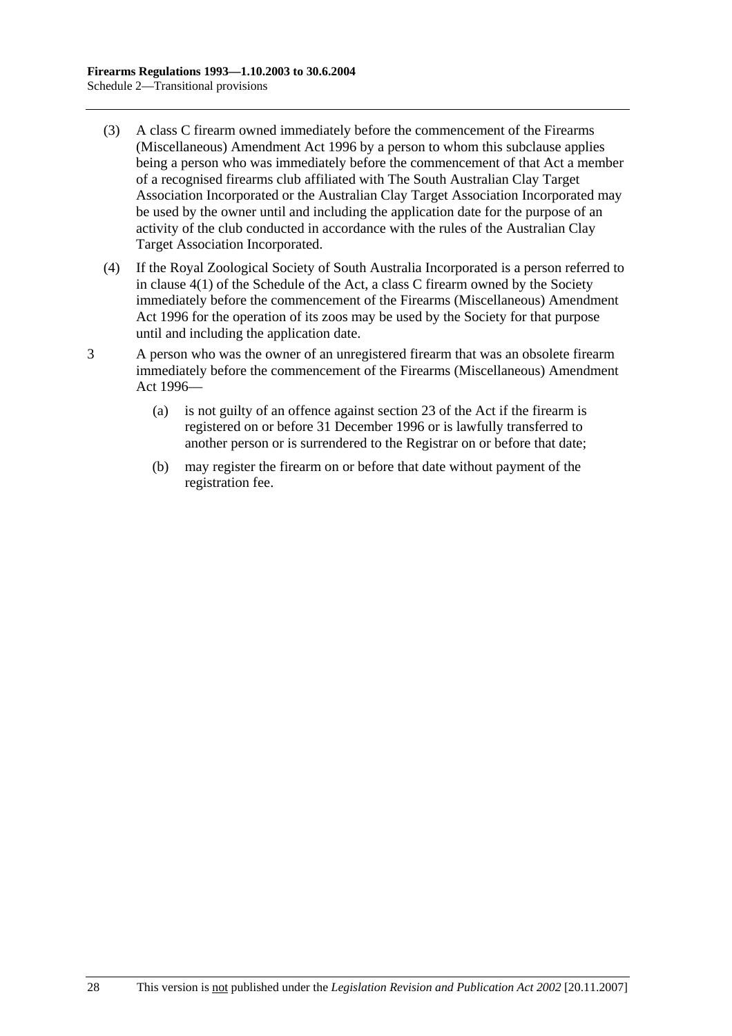- (3) A class C firearm owned immediately before the commencement of the Firearms (Miscellaneous) Amendment Act 1996 by a person to whom this subclause applies being a person who was immediately before the commencement of that Act a member of a recognised firearms club affiliated with The South Australian Clay Target Association Incorporated or the Australian Clay Target Association Incorporated may be used by the owner until and including the application date for the purpose of an activity of the club conducted in accordance with the rules of the Australian Clay Target Association Incorporated.
- (4) If the Royal Zoological Society of South Australia Incorporated is a person referred to in clause 4(1) of the Schedule of the Act, a class C firearm owned by the Society immediately before the commencement of the Firearms (Miscellaneous) Amendment Act 1996 for the operation of its zoos may be used by the Society for that purpose until and including the application date.
- 3 A person who was the owner of an unregistered firearm that was an obsolete firearm immediately before the commencement of the Firearms (Miscellaneous) Amendment Act 1996—
	- (a) is not guilty of an offence against section 23 of the Act if the firearm is registered on or before 31 December 1996 or is lawfully transferred to another person or is surrendered to the Registrar on or before that date;
	- (b) may register the firearm on or before that date without payment of the registration fee.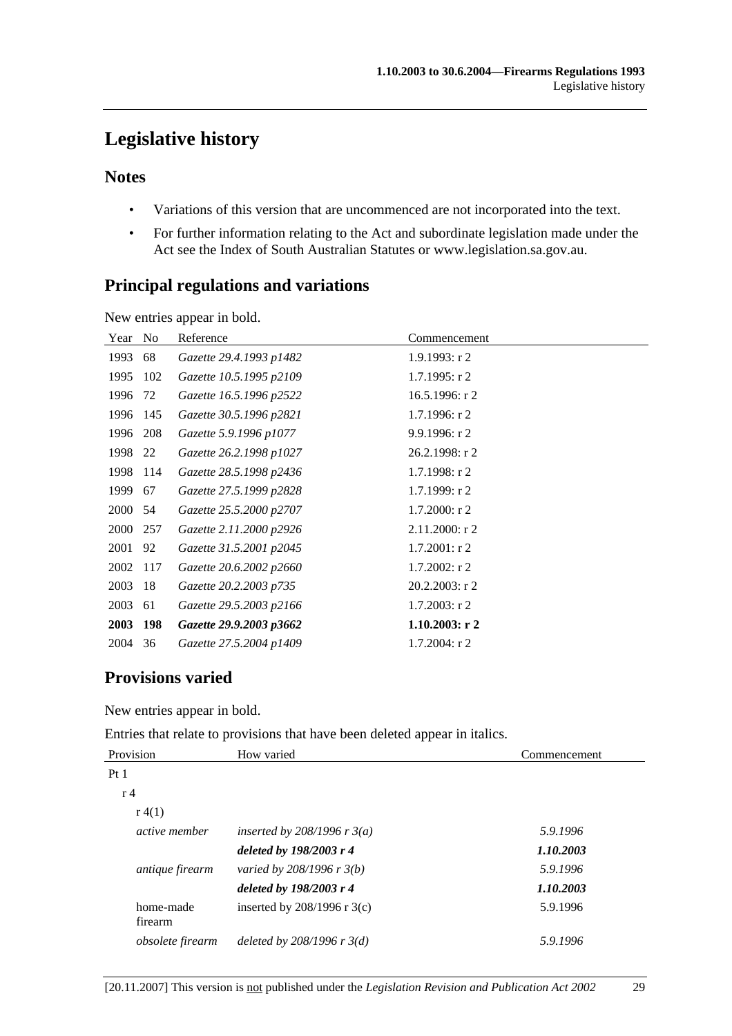# **Legislative history**

## **Notes**

- Variations of this version that are uncommenced are not incorporated into the text.
- For further information relating to the Act and subordinate legislation made under the Act see the Index of South Australian Statutes or www.legislation.sa.gov.au.

## **Principal regulations and variations**

New entries appear in bold.

| Year | No  | Reference               | Commencement      |
|------|-----|-------------------------|-------------------|
| 1993 | 68  | Gazette 29.4.1993 p1482 | 1.9.1993: r2      |
| 1995 | 102 | Gazette 10.5.1995 p2109 | $1.7.1995:$ r 2   |
| 1996 | 72  | Gazette 16.5.1996 p2522 | $16.5.1996$ : r 2 |
| 1996 | 145 | Gazette 30.5.1996 p2821 | $1.7.1996$ : r 2  |
| 1996 | 208 | Gazette 5.9.1996 p1077  | 9.9.1996: r2      |
| 1998 | 22  | Gazette 26.2.1998 p1027 | $26.2.1998:$ r 2  |
| 1998 | 114 | Gazette 28.5.1998 p2436 | $1.7.1998:$ r 2   |
| 1999 | 67  | Gazette 27.5.1999 p2828 | 1.7.1999: r2      |
| 2000 | 54  | Gazette 25.5.2000 p2707 | $1.7.2000:$ r 2   |
| 2000 | 257 | Gazette 2.11.2000 p2926 | $2.11.2000:$ r 2  |
| 2001 | 92  | Gazette 31.5.2001 p2045 | $1.7.2001:$ r 2   |
| 2002 | 117 | Gazette 20.6.2002 p2660 | $1.7.2002:$ r 2   |
| 2003 | -18 | Gazette 20.2.2003 p735  | $20.2.2003$ : r 2 |
| 2003 | 61  | Gazette 29.5.2003 p2166 | $1.7.2003$ : r 2  |
| 2003 | 198 | Gazette 29.9.2003 p3662 | $1.10.2003$ : r 2 |
| 2004 | 36  | Gazette 27.5.2004 p1409 | $1.7.2004$ : r 2  |

## **Provisions varied**

New entries appear in bold.

Entries that relate to provisions that have been deleted appear in italics.

| Provision              | How varied                     | Commencement |  |
|------------------------|--------------------------------|--------------|--|
| Pt <sub>1</sub>        |                                |              |  |
| r <sub>4</sub>         |                                |              |  |
| r(4(1))                |                                |              |  |
| <i>active member</i>   | inserted by 208/1996 r $3(a)$  | 5.9.1996     |  |
|                        | deleted by 198/2003 r 4        | 1.10.2003    |  |
| <i>antique firearm</i> | varied by $208/1996 r 3(b)$    | 5.9.1996     |  |
|                        | deleted by 198/2003 r 4        | 1.10.2003    |  |
| home-made<br>firearm   | inserted by $208/1996$ r 3(c)  | 5.9.1996     |  |
| obsolete firearm       | deleted by $208/1996$ r $3(d)$ | 5.9.1996     |  |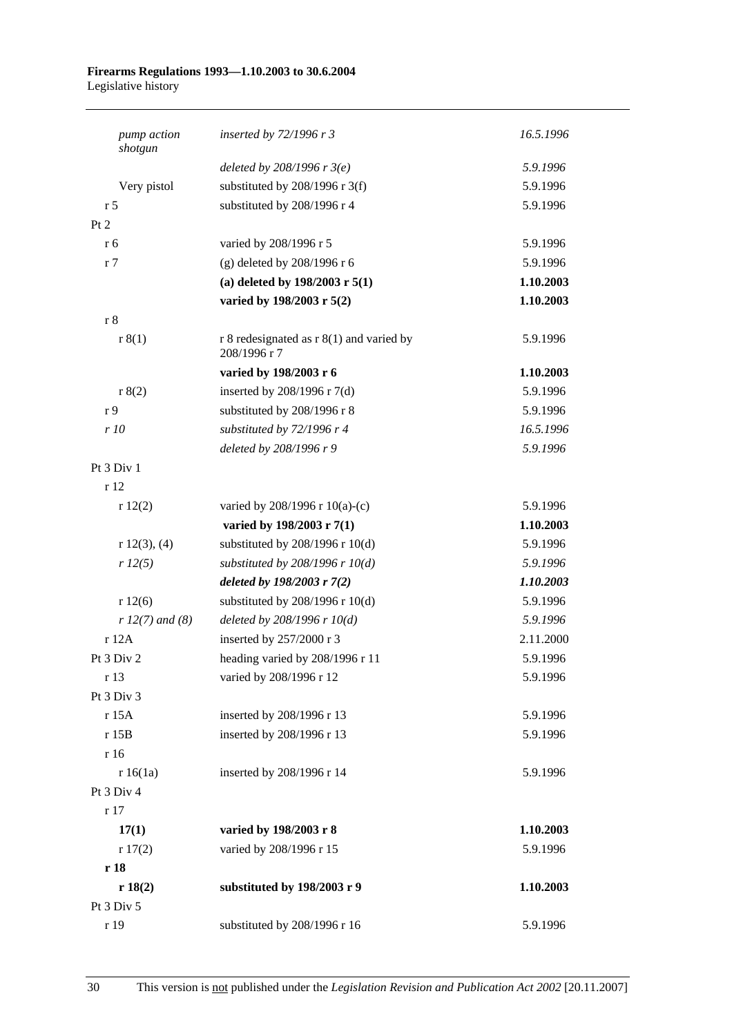#### **Firearms Regulations 1993—1.10.2003 to 30.6.2004**  Legislative history

| pump action<br>shotgun | inserted by $72/1996$ r 3                                  | 16.5.1996 |
|------------------------|------------------------------------------------------------|-----------|
|                        | deleted by $208/1996$ r $3(e)$                             | 5.9.1996  |
| Very pistol            | substituted by $208/1996$ r 3(f)                           | 5.9.1996  |
| r <sub>5</sub>         | substituted by 208/1996 r 4                                | 5.9.1996  |
| Pt 2                   |                                                            |           |
| r 6                    | varied by 208/1996 r 5                                     | 5.9.1996  |
| r <sub>7</sub>         | (g) deleted by $208/1996$ r 6                              | 5.9.1996  |
|                        | (a) deleted by $198/2003$ r $5(1)$                         | 1.10.2003 |
|                        | varied by 198/2003 r 5(2)                                  | 1.10.2003 |
| r8                     |                                                            |           |
| r 8(1)                 | r 8 redesignated as $r 8(1)$ and varied by<br>208/1996 r 7 | 5.9.1996  |
|                        | varied by 198/2003 r 6                                     | 1.10.2003 |
| r 8(2)                 | inserted by 208/1996 r 7(d)                                | 5.9.1996  |
| r 9                    | substituted by 208/1996 r 8                                | 5.9.1996  |
| r10                    | substituted by 72/1996 r 4                                 | 16.5.1996 |
|                        | deleted by 208/1996 r 9                                    | 5.9.1996  |
| Pt 3 Div 1             |                                                            |           |
| r 12                   |                                                            |           |
| r12(2)                 | varied by $208/1996$ r $10(a)-(c)$                         | 5.9.1996  |
|                        | varied by 198/2003 r 7(1)                                  | 1.10.2003 |
| r 12(3), (4)           | substituted by $208/1996$ r $10(d)$                        | 5.9.1996  |
| r 12(5)                | substituted by $208/1996$ r $10(d)$                        | 5.9.1996  |
|                        | deleted by 198/2003 r 7(2)                                 | 1.10.2003 |
| r12(6)                 | substituted by $208/1996$ r $10(d)$                        | 5.9.1996  |
| $r 12(7)$ and (8)      | deleted by $208/1996$ r $10(d)$                            | 5.9.1996  |
| r 12A                  | inserted by 257/2000 r 3                                   | 2.11.2000 |
| Pt 3 Div 2             | heading varied by 208/1996 r 11                            | 5.9.1996  |
| r 13                   | varied by 208/1996 r 12                                    | 5.9.1996  |
| Pt 3 Div 3             |                                                            |           |
| r 15A                  | inserted by 208/1996 r 13                                  | 5.9.1996  |
| r 15B                  | inserted by 208/1996 r 13                                  | 5.9.1996  |
| r 16                   |                                                            |           |
| r 16(1a)               | inserted by 208/1996 r 14                                  | 5.9.1996  |
| Pt 3 Div 4             |                                                            |           |
| r 17                   |                                                            |           |
| 17(1)                  | varied by 198/2003 r 8                                     | 1.10.2003 |
| r 17(2)                | varied by 208/1996 r 15                                    | 5.9.1996  |
| r 18                   |                                                            |           |
| r 18(2)                | substituted by 198/2003 r 9                                | 1.10.2003 |
| Pt 3 Div 5             |                                                            |           |
| r 19                   | substituted by 208/1996 r 16                               | 5.9.1996  |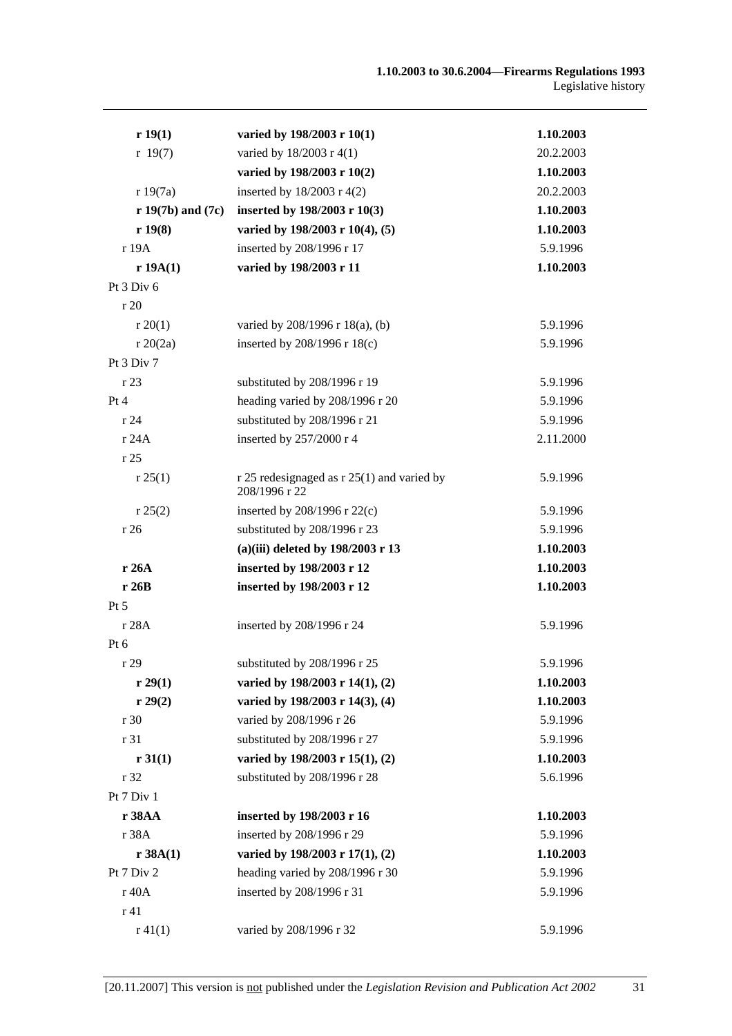| r 19(1)               | varied by 198/2003 r 10(1)                                      | 1.10.2003 |
|-----------------------|-----------------------------------------------------------------|-----------|
| r 19(7)               | varied by 18/2003 r 4(1)                                        | 20.2.2003 |
|                       | varied by 198/2003 r 10(2)                                      | 1.10.2003 |
| r 19(7a)              | inserted by $18/2003$ r 4(2)                                    | 20.2.2003 |
| $r 19(7b)$ and $(7c)$ | inserted by 198/2003 r 10(3)                                    | 1.10.2003 |
| r 19(8)               | varied by 198/2003 r 10(4), (5)                                 | 1.10.2003 |
| r 19A                 | inserted by 208/1996 r 17                                       | 5.9.1996  |
| r 19A(1)              | varied by 198/2003 r 11                                         | 1.10.2003 |
| Pt 3 Div 6            |                                                                 |           |
| r20                   |                                                                 |           |
| r 20(1)               | varied by 208/1996 r 18(a), (b)                                 | 5.9.1996  |
| r 20(2a)              | inserted by 208/1996 r 18(c)                                    | 5.9.1996  |
| Pt 3 Div 7            |                                                                 |           |
| r 23                  | substituted by 208/1996 r 19                                    | 5.9.1996  |
| Pt 4                  | heading varied by 208/1996 r 20                                 | 5.9.1996  |
| r 24                  | substituted by 208/1996 r 21                                    | 5.9.1996  |
| r 24A                 | inserted by 257/2000 r 4                                        | 2.11.2000 |
| r 25                  |                                                                 |           |
| r 25(1)               | $r$ 25 redesignaged as $r$ 25(1) and varied by<br>208/1996 r 22 | 5.9.1996  |
| r 25(2)               | inserted by $208/1996$ r $22(c)$                                | 5.9.1996  |
| r26                   | substituted by 208/1996 r 23                                    | 5.9.1996  |
|                       | (a)(iii) deleted by 198/2003 r 13                               | 1.10.2003 |
| r 26A                 | inserted by 198/2003 r 12                                       | 1.10.2003 |
| r26B                  | inserted by 198/2003 r 12                                       | 1.10.2003 |
| Pt 5                  |                                                                 |           |
| r 28A                 | inserted by 208/1996 r 24                                       | 5.9.1996  |
| Pt 6                  |                                                                 |           |
| r 29                  | substituted by 208/1996 r 25                                    | 5.9.1996  |
| r 29(1)               | varied by 198/2003 r 14(1), (2)                                 | 1.10.2003 |
| r 29(2)               | varied by 198/2003 r 14(3), (4)                                 | 1.10.2003 |
| r 30                  | varied by 208/1996 r 26                                         | 5.9.1996  |
| r 31                  | substituted by 208/1996 r 27                                    | 5.9.1996  |
| r 31(1)               | varied by 198/2003 r 15(1), (2)                                 | 1.10.2003 |
| r 32                  | substituted by 208/1996 r 28                                    | 5.6.1996  |
| Pt 7 Div 1            |                                                                 |           |
| r 38AA                | inserted by 198/2003 r 16                                       | 1.10.2003 |
| r 38A                 | inserted by 208/1996 r 29                                       | 5.9.1996  |
| r 38A(1)              | varied by 198/2003 r 17(1), (2)                                 | 1.10.2003 |
| Pt 7 Div 2            | heading varied by 208/1996 r 30                                 | 5.9.1996  |
| r 40A                 | inserted by 208/1996 r 31                                       | 5.9.1996  |
| r 41                  |                                                                 |           |
| $r\,41(1)$            | varied by 208/1996 r 32                                         | 5.9.1996  |